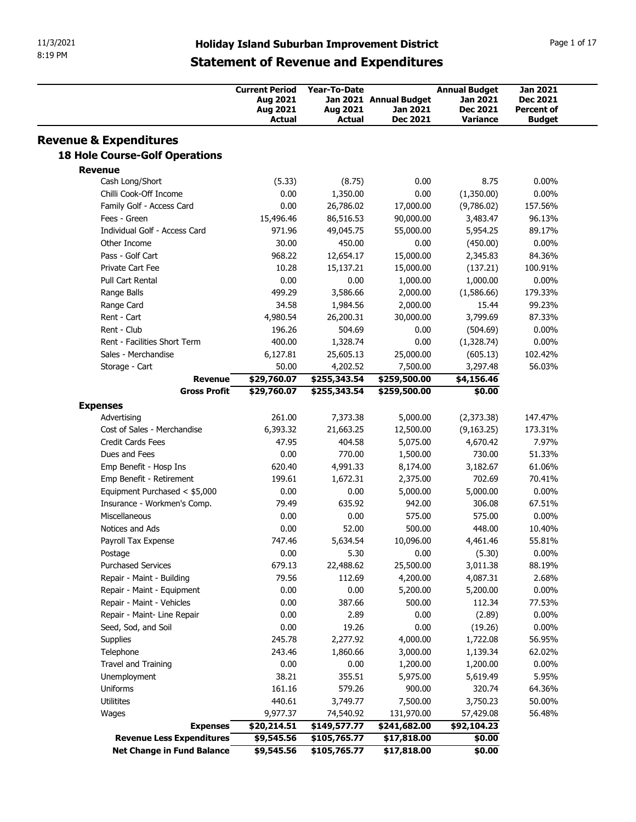| 11/3/2021<br>8:19 PM                      |                                                     |                           |                             |                                    |                                    |
|-------------------------------------------|-----------------------------------------------------|---------------------------|-----------------------------|------------------------------------|------------------------------------|
|                                           |                                                     |                           |                             |                                    |                                    |
|                                           |                                                     |                           |                             |                                    |                                    |
|                                           |                                                     |                           |                             |                                    |                                    |
|                                           |                                                     |                           |                             |                                    |                                    |
|                                           |                                                     |                           |                             |                                    |                                    |
|                                           | <b>Holiday Island Suburban Improvement District</b> |                           |                             |                                    | Page 1 of 17                       |
|                                           | <b>Statement of Revenue and Expenditures</b>        |                           |                             |                                    |                                    |
|                                           |                                                     |                           |                             |                                    |                                    |
|                                           | <b>Current Period</b>                               | Year-To-Date              |                             | <b>Annual Budget</b>               | Jan 2021                           |
|                                           | Aug 2021                                            |                           | Jan 2021 Annual Budget      | Jan 2021                           | Dec 2021                           |
|                                           | Aug 2021<br>Actual                                  | Aug 2021<br>Actual        | Jan 2021<br><b>Dec 2021</b> | <b>Dec 2021</b><br><b>Variance</b> | <b>Percent of</b><br><b>Budget</b> |
|                                           |                                                     |                           |                             |                                    |                                    |
| <b>Revenue &amp; Expenditures</b>         |                                                     |                           |                             |                                    |                                    |
| <b>18 Hole Course-Golf Operations</b>     |                                                     |                           |                             |                                    |                                    |
| <b>Revenue</b>                            |                                                     |                           |                             |                                    |                                    |
| Cash Long/Short<br>Chilli Cook-Off Income | (5.33)                                              | (8.75)                    | 0.00                        | 8.75                               | $0.00\%$                           |
| Family Golf - Access Card                 | 0.00<br>0.00                                        | 1,350.00<br>26,786.02     | 0.00<br>17,000.00           | (1,350.00)<br>(9,786.02)           | $0.00\%$<br>157.56%                |
| Fees - Green                              | 15,496.46                                           | 86,516.53                 | 90,000.00                   | 3,483.47                           | 96.13%                             |
| Individual Golf - Access Card             | 971.96                                              | 49,045.75                 | 55,000.00                   | 5,954.25                           | 89.17%                             |
| Other Income                              | 30.00                                               | 450.00                    | 0.00                        | (450.00)                           | $0.00\%$                           |
| Pass - Golf Cart                          | 968.22                                              | 12,654.17                 | 15,000.00                   | 2,345.83                           | 84.36%                             |
| Private Cart Fee                          | 10.28                                               | 15,137.21                 | 15,000.00                   | (137.21)                           | 100.91%                            |
| Pull Cart Rental                          | 0.00                                                | 0.00                      | 1,000.00                    | 1,000.00                           | $0.00\%$                           |
| Range Balls                               | 499.29                                              | 3,586.66                  | 2,000.00                    | (1,586.66)                         | 179.33%                            |
| Range Card<br>Rent - Cart                 | 34.58<br>4,980.54                                   | 1,984.56<br>26,200.31     | 2,000.00<br>30,000.00       | 15.44<br>3,799.69                  | 99.23%<br>87.33%                   |
| Rent - Club                               | 196.26                                              | 504.69                    | 0.00                        | (504.69)                           | $0.00\%$                           |
| Rent - Facilities Short Term              | 400.00                                              | 1,328.74                  | 0.00                        | (1,328.74)                         | $0.00\%$                           |
| Sales - Merchandise                       | 6,127.81                                            | 25,605.13                 | 25,000.00                   | (605.13)                           | 102.42%                            |
| Storage - Cart                            | 50.00                                               | 4,202.52                  | 7,500.00                    | 3,297.48                           | 56.03%                             |
|                                           | \$29,760.07<br><b>Revenue</b>                       | \$255,343.54              | \$259,500.00                | \$4,156.46                         |                                    |
|                                           | <b>Gross Profit</b><br>\$29,760.07                  | \$255,343.54              | \$259,500.00                | \$0.00                             |                                    |
| <b>Expenses</b><br>Advertising            | 261.00                                              | 7,373.38                  | 5,000.00                    | (2,373.38)                         | 147.47%                            |
| Cost of Sales - Merchandise               | 6,393.32                                            | 21,663.25                 | 12,500.00                   | (9, 163.25)                        | 173.31%                            |
| Credit Cards Fees                         | 47.95                                               | 404.58                    | 5,075.00                    | 4,670.42                           | 7.97%                              |
| Dues and Fees                             | 0.00                                                | 770.00                    | 1,500.00                    | 730.00                             | 51.33%                             |
| Emp Benefit - Hosp Ins                    | 620.40                                              | 4,991.33                  | 8,174.00                    | 3,182.67                           | 61.06%                             |
| Emp Benefit - Retirement                  | 199.61                                              | 1,672.31                  | 2,375.00                    | 702.69                             | 70.41%                             |
| Equipment Purchased < \$5,000             | 0.00                                                | 0.00                      | 5,000.00                    | 5,000.00                           | $0.00\%$                           |
| Insurance - Workmen's Comp.               | 79.49                                               | 635.92                    | 942.00                      | 306.08                             | 67.51%                             |
| Miscellaneous                             | 0.00                                                | 0.00                      | 575.00                      | 575.00                             | $0.00\%$                           |
| Notices and Ads<br>Payroll Tax Expense    | 0.00<br>747.46                                      | 52.00<br>5,634.54         | 500.00<br>10,096.00         | 448.00<br>4,461.46                 | 10.40%<br>55.81%                   |
| Postage                                   | 0.00                                                | 5.30                      | 0.00                        | (5.30)                             | $0.00\%$                           |
| <b>Purchased Services</b>                 | 679.13                                              | 22,488.62                 | 25,500.00                   | 3,011.38                           | 88.19%                             |
| Repair - Maint - Building                 | 79.56                                               | 112.69                    | 4,200.00                    | 4,087.31                           | 2.68%                              |
| Repair - Maint - Equipment                | 0.00                                                | 0.00                      | 5,200.00                    | 5,200.00                           | $0.00\%$                           |
| Repair - Maint - Vehicles                 | 0.00                                                | 387.66                    | 500.00                      | 112.34                             | 77.53%                             |
| Repair - Maint- Line Repair               | 0.00                                                | 2.89                      | 0.00                        | (2.89)                             | $0.00\%$                           |
| Seed, Sod, and Soil                       | 0.00                                                | 19.26                     | 0.00                        | (19.26)                            | $0.00\%$                           |
| Supplies                                  | 245.78                                              | 2,277.92                  | 4,000.00                    | 1,722.08                           | 56.95%                             |
|                                           | 243.46                                              | 1,860.66                  | 3,000.00                    | 1,139.34                           | 62.02%                             |
| Telephone                                 | 0.00                                                | 0.00<br>355.51            | 1,200.00<br>5,975.00        | 1,200.00                           | $0.00\%$<br>5.95%                  |
| Travel and Training                       |                                                     |                           |                             | 5,619.49<br>320.74                 | 64.36%                             |
| Unemployment                              | 38.21                                               |                           |                             |                                    |                                    |
| Uniforms                                  | 161.16                                              | 579.26                    | 900.00                      |                                    |                                    |
| Utilitites                                | 440.61                                              | 3,749.77                  | 7,500.00                    | 3,750.23                           | 50.00%                             |
| Wages                                     | 9,977.37<br>\$20,214.51<br><b>Expenses</b>          | 74,540.92<br>\$149,577.77 | 131,970.00<br>\$241,682.00  | 57,429.08<br>\$92,104.23           | 56.48%                             |
| Revenue Less Expenditures                 | \$9,545.56                                          | \$105,765.77              | \$17,818.00                 | \$0.00                             |                                    |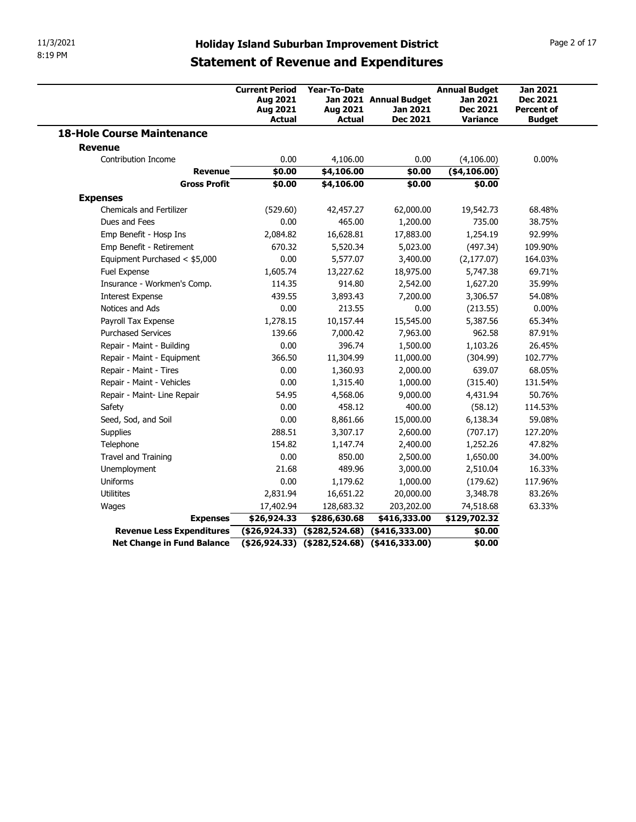| 11/3/2021<br>8:19 PM                       |                     |                                                                |                                                |                                                                                                     |                                                                        |                                                                          |
|--------------------------------------------|---------------------|----------------------------------------------------------------|------------------------------------------------|-----------------------------------------------------------------------------------------------------|------------------------------------------------------------------------|--------------------------------------------------------------------------|
|                                            |                     |                                                                |                                                | <b>Holiday Island Suburban Improvement District</b><br><b>Statement of Revenue and Expenditures</b> |                                                                        | Page 2 of 17                                                             |
|                                            |                     | <b>Current Period</b><br>Aug 2021<br>Aug 2021<br><b>Actual</b> | Year-To-Date<br>Aug 2021<br><b>Actual</b>      | Jan 2021 Annual Budget<br>Jan 2021<br><b>Dec 2021</b>                                               | <b>Annual Budget</b><br>Jan 2021<br><b>Dec 2021</b><br><b>Variance</b> | <b>Jan 2021</b><br><b>Dec 2021</b><br><b>Percent of</b><br><b>Budget</b> |
| <b>18-Hole Course Maintenance</b>          |                     |                                                                |                                                |                                                                                                     |                                                                        |                                                                          |
| <b>Revenue</b>                             |                     |                                                                |                                                |                                                                                                     |                                                                        |                                                                          |
| Contribution Income                        | <b>Revenue</b>      | 0.00<br>\$0.00                                                 | 4,106.00<br>\$4,106.00                         | 0.00<br>\$0.00                                                                                      | (4,106.00)<br>( \$4,106.00)                                            | $0.00\%$                                                                 |
| <b>Expenses</b>                            | <b>Gross Profit</b> | \$0.00                                                         | \$4,106.00                                     | \$0.00                                                                                              | \$0.00                                                                 |                                                                          |
| <b>Chemicals and Fertilizer</b>            |                     | (529.60)                                                       | 42,457.27                                      | 62,000.00                                                                                           | 19,542.73                                                              | 68.48%                                                                   |
| Dues and Fees                              |                     | 0.00                                                           | 465.00                                         | 1,200.00                                                                                            | 735.00                                                                 | 38.75%                                                                   |
| Emp Benefit - Hosp Ins                     |                     | 2,084.82                                                       | 16,628.81                                      | 17,883.00                                                                                           | 1,254.19                                                               | 92.99%                                                                   |
| Emp Benefit - Retirement                   |                     | 670.32                                                         | 5,520.34                                       | 5,023.00                                                                                            | (497.34)                                                               | 109.90%                                                                  |
| Equipment Purchased < \$5,000              |                     | 0.00                                                           | 5,577.07                                       | 3,400.00                                                                                            | (2, 177.07)                                                            | 164.03%                                                                  |
| Fuel Expense                               |                     | 1,605.74                                                       | 13,227.62                                      | 18,975.00                                                                                           | 5,747.38                                                               | 69.71%                                                                   |
| Insurance - Workmen's Comp.                |                     | 114.35                                                         | 914.80                                         | 2,542.00                                                                                            | 1,627.20                                                               | 35.99%                                                                   |
| <b>Interest Expense</b><br>Notices and Ads |                     | 439.55                                                         | 3,893.43                                       | 7,200.00                                                                                            | 3,306.57                                                               | 54.08%                                                                   |
| Payroll Tax Expense                        |                     | 0.00<br>1,278.15                                               | 213.55<br>10,157.44                            | 0.00<br>15,545.00                                                                                   | (213.55)<br>5,387.56                                                   | $0.00\%$<br>65.34%                                                       |
| <b>Purchased Services</b>                  |                     | 139.66                                                         | 7,000.42                                       | 7,963.00                                                                                            | 962.58                                                                 | 87.91%                                                                   |
| Repair - Maint - Building                  |                     | 0.00                                                           | 396.74                                         | 1,500.00                                                                                            | 1,103.26                                                               | 26.45%                                                                   |
| Repair - Maint - Equipment                 |                     | 366.50                                                         | 11,304.99                                      | 11,000.00                                                                                           | (304.99)                                                               | 102.77%                                                                  |
| Repair - Maint - Tires                     |                     | 0.00                                                           | 1,360.93                                       | 2,000.00                                                                                            | 639.07                                                                 | 68.05%                                                                   |
| Repair - Maint - Vehicles                  |                     | 0.00                                                           | 1,315.40                                       | 1,000.00                                                                                            | (315.40)                                                               | 131.54%                                                                  |
| Repair - Maint- Line Repair                |                     | 54.95                                                          | 4,568.06                                       | 9,000.00                                                                                            | 4,431.94                                                               | 50.76%                                                                   |
| Safety                                     |                     | 0.00                                                           | 458.12                                         | 400.00                                                                                              | (58.12)                                                                | 114.53%                                                                  |
| Seed, Sod, and Soil                        |                     | 0.00                                                           | 8,861.66                                       | 15,000.00                                                                                           | 6,138.34                                                               | 59.08%                                                                   |
| Supplies                                   |                     | 288.51                                                         | 3,307.17                                       | 2,600.00                                                                                            | (707.17)                                                               | 127.20%                                                                  |
| Telephone                                  |                     | 154.82                                                         | 1,147.74                                       | 2,400.00                                                                                            | 1,252.26                                                               | 47.82%                                                                   |
| Travel and Training                        |                     | 0.00                                                           | 850.00                                         | 2,500.00                                                                                            | 1,650.00                                                               | 34.00%                                                                   |
| Unemployment                               |                     | 21.68                                                          | 489.96                                         | 3,000.00                                                                                            | 2,510.04                                                               | 16.33%                                                                   |
| Uniforms                                   |                     | 0.00                                                           | 1,179.62                                       | 1,000.00                                                                                            | (179.62)                                                               | 117.96%                                                                  |
| Utilitites                                 |                     | 2,831.94                                                       | 16,651.22                                      | 20,000.00                                                                                           | 3,348.78                                                               | 83.26%                                                                   |
|                                            | <b>Expenses</b>     | 17,402.94<br>\$26,924.33                                       | 128,683.32<br>\$286,630.68                     | 203,202.00<br>\$416,333.00                                                                          | 74,518.68<br>\$129,702.32                                              | 63.33%                                                                   |
| Wages                                      |                     |                                                                |                                                | $( $26,924.33)$ $( $282,524.68)$ $( $416,333.00)$                                                   | \$0.00                                                                 |                                                                          |
| Revenue Less Expenditures                  |                     |                                                                | $($26,924.33)$ $($282,524.68)$ $($416,333.00)$ |                                                                                                     | \$0.00                                                                 |                                                                          |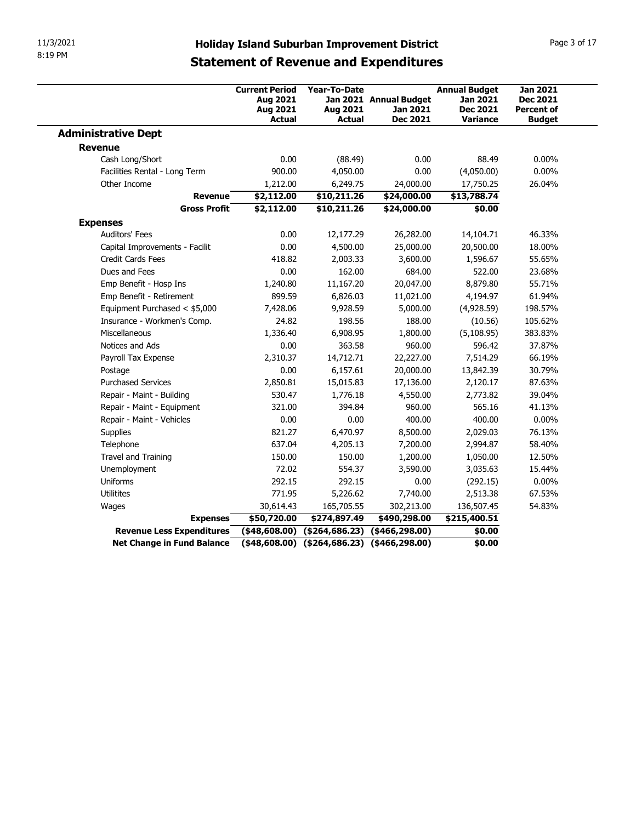| 11/3/2021                                     |                                   |                                                         |                                           |                                                     |                                                                        |                                                                          |
|-----------------------------------------------|-----------------------------------|---------------------------------------------------------|-------------------------------------------|-----------------------------------------------------|------------------------------------------------------------------------|--------------------------------------------------------------------------|
|                                               |                                   |                                                         |                                           |                                                     |                                                                        |                                                                          |
| 8:19 PM                                       |                                   |                                                         |                                           | <b>Holiday Island Suburban Improvement District</b> |                                                                        | Page 3 of 17                                                             |
|                                               |                                   |                                                         |                                           | <b>Statement of Revenue and Expenditures</b>        |                                                                        |                                                                          |
|                                               |                                   | <b>Current Period</b><br>Aug 2021<br>Aug 2021<br>Actual | Year-To-Date<br>Aug 2021<br><b>Actual</b> | Jan 2021 Annual Budget<br>Jan 2021<br>Dec 2021      | <b>Annual Budget</b><br><b>Jan 2021</b><br><b>Dec 2021</b><br>Variance | <b>Jan 2021</b><br><b>Dec 2021</b><br><b>Percent of</b><br><b>Budget</b> |
| <b>Administrative Dept</b>                    |                                   |                                                         |                                           |                                                     |                                                                        |                                                                          |
| <b>Revenue</b>                                |                                   |                                                         |                                           |                                                     |                                                                        |                                                                          |
| Cash Long/Short                               |                                   | 0.00                                                    | (88.49)                                   | 0.00<br>0.00                                        | 88.49                                                                  | $0.00\%$                                                                 |
| Facilities Rental - Long Term<br>Other Income |                                   | 900.00<br>1,212.00                                      | 4,050.00<br>6,249.75                      | 24,000.00                                           | (4,050.00)<br>17,750.25                                                | $0.00\%$<br>26.04%                                                       |
|                                               | <b>Revenue</b>                    | \$2,112.00                                              | \$10,211.26                               | \$24,000.00                                         | \$13,788.74                                                            |                                                                          |
|                                               | <b>Gross Profit</b>               | \$2,112.00                                              | \$10,211.26                               | \$24,000.00                                         | \$0.00                                                                 |                                                                          |
| <b>Expenses</b>                               |                                   |                                                         |                                           |                                                     |                                                                        |                                                                          |
| Auditors' Fees                                |                                   | 0.00                                                    | 12,177.29                                 | 26,282.00                                           | 14,104.71                                                              | 46.33%                                                                   |
| Capital Improvements - Facilit                |                                   | 0.00                                                    | 4,500.00                                  | 25,000.00                                           | 20,500.00                                                              | 18.00%                                                                   |
| Credit Cards Fees<br>Dues and Fees            |                                   | 418.82<br>0.00                                          | 2,003.33<br>162.00                        | 3,600.00<br>684.00                                  | 1,596.67<br>522.00                                                     | 55.65%<br>23.68%                                                         |
| Emp Benefit - Hosp Ins                        |                                   | 1,240.80                                                | 11,167.20                                 | 20,047.00                                           | 8,879.80                                                               | 55.71%                                                                   |
| Emp Benefit - Retirement                      |                                   | 899.59                                                  | 6,826.03                                  | 11,021.00                                           | 4,194.97                                                               | 61.94%                                                                   |
| Equipment Purchased < \$5,000                 |                                   | 7,428.06                                                | 9,928.59                                  | 5,000.00                                            | (4,928.59)                                                             | 198.57%                                                                  |
| Insurance - Workmen's Comp.                   |                                   | 24.82                                                   | 198.56                                    | 188.00                                              | (10.56)                                                                | 105.62%                                                                  |
| Miscellaneous                                 |                                   | 1,336.40                                                | 6,908.95                                  | 1,800.00                                            | (5, 108.95)                                                            | 383.83%                                                                  |
| Notices and Ads                               |                                   | 0.00                                                    | 363.58                                    | 960.00                                              | 596.42                                                                 | 37.87%                                                                   |
| Payroll Tax Expense<br>Postage                |                                   | 2,310.37<br>0.00                                        | 14,712.71<br>6,157.61                     | 22,227.00<br>20,000.00                              | 7,514.29<br>13,842.39                                                  | 66.19%<br>30.79%                                                         |
| <b>Purchased Services</b>                     |                                   | 2,850.81                                                | 15,015.83                                 | 17,136.00                                           | 2,120.17                                                               | 87.63%                                                                   |
| Repair - Maint - Building                     |                                   | 530.47                                                  | 1,776.18                                  | 4,550.00                                            | 2,773.82                                                               | 39.04%                                                                   |
| Repair - Maint - Equipment                    |                                   | 321.00                                                  | 394.84                                    | 960.00                                              | 565.16                                                                 | 41.13%                                                                   |
| Repair - Maint - Vehicles                     |                                   | 0.00                                                    | 0.00                                      | 400.00                                              | 400.00                                                                 | $0.00\%$                                                                 |
| Supplies                                      |                                   | 821.27                                                  | 6,470.97                                  | 8,500.00                                            | 2,029.03                                                               | 76.13%                                                                   |
| Telephone                                     |                                   | 637.04                                                  | 4,205.13                                  | 7,200.00                                            | 2,994.87                                                               | 58.40%                                                                   |
| Travel and Training<br>Unemployment           |                                   | 150.00<br>72.02                                         | 150.00<br>554.37                          | 1,200.00<br>3,590.00                                | 1,050.00                                                               | 12.50%<br>15.44%                                                         |
| Uniforms                                      |                                   | 292.15                                                  | 292.15                                    | 0.00                                                | 3,035.63<br>(292.15)                                                   | $0.00\%$                                                                 |
| Utilitites                                    |                                   | 771.95                                                  | 5,226.62                                  | 7,740.00                                            | 2,513.38                                                               | 67.53%                                                                   |
| Wages                                         |                                   | 30,614.43                                               | 165,705.55                                | 302,213.00                                          | 136,507.45                                                             | 54.83%                                                                   |
|                                               | <b>Expenses</b>                   | \$50,720.00                                             | \$274,897.49                              | \$490,298.00                                        | \$215,400.51                                                           |                                                                          |
|                                               | <b>Net Change in Fund Balance</b> |                                                         |                                           | $(48,608.00)$ $(4264,686.23)$ $(466,298.00)$        | \$0.00<br>\$0.00                                                       |                                                                          |
| Revenue Less Expenditures                     |                                   | $(48,608.00)$ $(4264,686.23)$ $(466,298.00)$            |                                           |                                                     |                                                                        |                                                                          |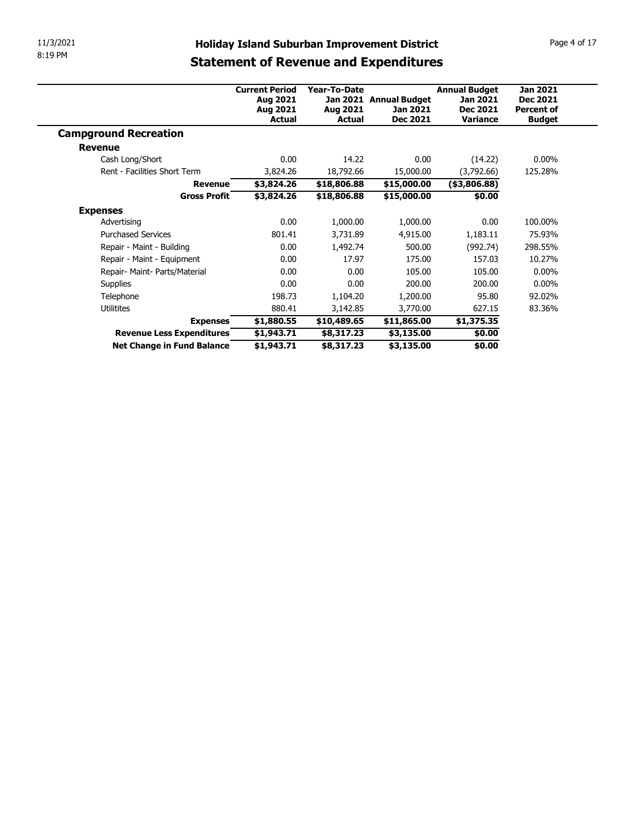| 11/3/2021                                               | <b>Holiday Island Suburban Improvement District</b> |                          |                          |                      | Page 4 of 17      |
|---------------------------------------------------------|-----------------------------------------------------|--------------------------|--------------------------|----------------------|-------------------|
| 8:19 PM                                                 | <b>Statement of Revenue and Expenditures</b>        |                          |                          |                      |                   |
|                                                         |                                                     |                          |                          |                      |                   |
|                                                         | <b>Current Period</b>                               | Year-To-Date             |                          | <b>Annual Budget</b> | <b>Jan 2021</b>   |
|                                                         | Aug 2021                                            |                          | Jan 2021 Annual Budget   | Jan 2021             | <b>Dec 2021</b>   |
|                                                         | Aug 2021                                            | Aug 2021                 | Jan 2021                 | Dec 2021             | <b>Percent of</b> |
| <b>Campground Recreation</b>                            | Actual                                              | <b>Actual</b>            | <b>Dec 2021</b>          | <b>Variance</b>      | <b>Budget</b>     |
|                                                         |                                                     |                          |                          |                      |                   |
|                                                         |                                                     |                          |                          |                      |                   |
| <b>Revenue</b>                                          |                                                     |                          |                          |                      |                   |
| Cash Long/Short                                         | 0.00                                                | 14.22                    | 0.00                     | (14.22)              | $0.00\%$          |
| Rent - Facilities Short Term                            | 3,824.26                                            | 18,792.66                | 15,000.00                | (3,792.66)           | 125.28%           |
| <b>Revenue</b>                                          | \$3,824.26                                          | \$18,806.88              | \$15,000.00              | $($ \$3,806.88)      |                   |
| <b>Gross Profit</b>                                     | \$3,824.26                                          | \$18,806.88              | \$15,000.00              | \$0.00               |                   |
| <b>Expenses</b>                                         |                                                     |                          |                          |                      |                   |
| Advertising                                             | 0.00                                                | 1,000.00                 | 1,000.00                 | 0.00                 | 100.00%           |
| <b>Purchased Services</b>                               | 801.41                                              | 3,731.89                 | 4,915.00                 | 1,183.11             | 75.93%            |
| Repair - Maint - Building                               | 0.00                                                | 1,492.74                 | 500.00                   | (992.74)             | 298.55%           |
| Repair - Maint - Equipment                              | 0.00                                                | 17.97                    | 175.00                   | 157.03               | 10.27%            |
| Repair- Maint- Parts/Material                           | 0.00                                                | 0.00                     | 105.00                   | 105.00               | $0.00\%$          |
| Supplies                                                | 0.00                                                | 0.00                     | 200.00                   | 200.00               | $0.00\%$          |
| Telephone                                               | 198.73                                              | 1,104.20                 | 1,200.00                 | 95.80                | 92.02%            |
| Utilitites                                              | 880.41                                              | 3,142.85                 | 3,770.00                 | 627.15               | 83.36%            |
| <b>Expenses</b>                                         | \$1,880.55                                          | \$10,489.65              | \$11,865.00              | \$1,375.35           |                   |
| Revenue Less Expenditures<br>Net Change in Fund Balance | \$1,943.71<br>\$1,943.71                            | \$8,317.23<br>\$8,317.23 | \$3,135.00<br>\$3,135.00 | \$0.00<br>\$0.00     |                   |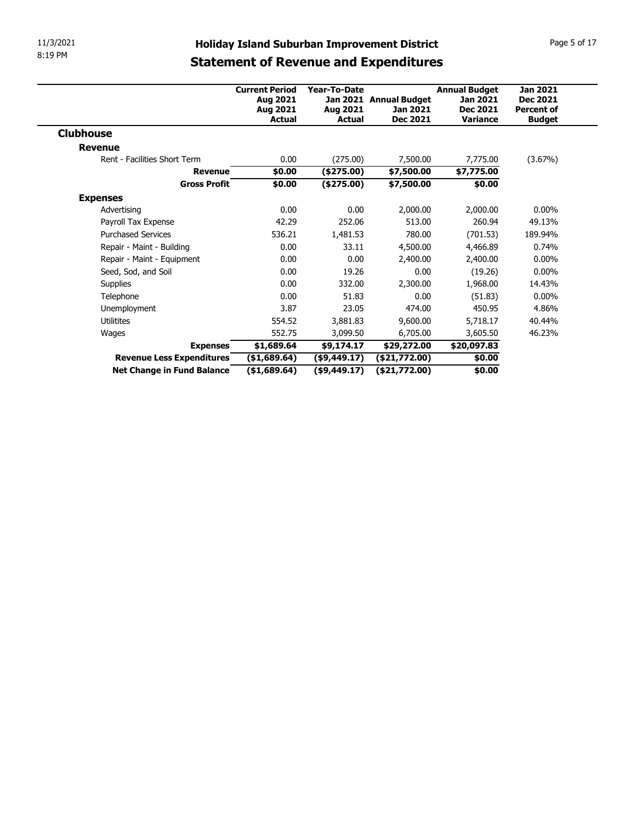| 11/3/2021                                      |                       |                           |                                                     |                      | Page 5 of 17                         |
|------------------------------------------------|-----------------------|---------------------------|-----------------------------------------------------|----------------------|--------------------------------------|
|                                                |                       |                           | <b>Holiday Island Suburban Improvement District</b> |                      |                                      |
|                                                |                       |                           | <b>Statement of Revenue and Expenditures</b>        |                      |                                      |
|                                                |                       |                           |                                                     |                      |                                      |
|                                                | <b>Current Period</b> | Year-To-Date              |                                                     | <b>Annual Budget</b> | <b>Jan 2021</b>                      |
|                                                | Aug 2021<br>Aug 2021  | Aug 2021                  | Jan 2021 Annual Budget<br>Jan 2021                  | Jan 2021<br>Dec 2021 | <b>Dec 2021</b><br><b>Percent of</b> |
|                                                | Actual                | <b>Actual</b>             | <b>Dec 2021</b>                                     | <b>Variance</b>      | <b>Budget</b>                        |
|                                                |                       |                           |                                                     |                      |                                      |
|                                                |                       |                           |                                                     |                      |                                      |
| <b>Clubhouse</b>                               |                       | (275.00)                  | 7,500.00                                            | 7,775.00             | (3.67%)                              |
| <b>Revenue</b><br>Rent - Facilities Short Term |                       |                           |                                                     |                      |                                      |
| <b>Revenue</b>                                 | 0.00                  |                           |                                                     |                      |                                      |
| <b>Gross Profit</b>                            | \$0.00<br>\$0.00      | $(*275.00)$<br>(\$275.00) | \$7,500.00                                          | \$7,775.00           |                                      |
|                                                |                       |                           | \$7,500.00                                          | \$0.00               |                                      |
| <b>Expenses</b>                                | 0.00                  | 0.00                      |                                                     |                      | $0.00\%$                             |
| Advertising                                    |                       | 252.06                    | 2,000.00<br>513.00                                  | 2,000.00             | 49.13%                               |
| Payroll Tax Expense                            | 42.29                 |                           |                                                     | 260.94               |                                      |
| <b>Purchased Services</b>                      | 536.21                | 1,481.53                  | 780.00                                              | (701.53)             | 189.94%                              |
| Repair - Maint - Building                      | 0.00                  | 33.11                     | 4,500.00                                            | 4,466.89             | 0.74%                                |
| Repair - Maint - Equipment                     | 0.00                  | 0.00                      | 2,400.00                                            | 2,400.00             | $0.00\%$                             |
| Seed, Sod, and Soil                            | 0.00<br>0.00          | 19.26<br>332.00           | 0.00<br>2,300.00                                    | (19.26)<br>1,968.00  | $0.00\%$<br>14.43%                   |
| Supplies<br>Telephone                          | 0.00                  | 51.83                     | 0.00                                                | (51.83)              | $0.00\%$                             |
| Unemployment                                   | 3.87                  | 23.05                     | 474.00                                              | 450.95               | 4.86%                                |
| Utilitites                                     | 554.52                | 3,881.83                  | 9,600.00                                            | 5,718.17             | 40.44%                               |
| Wages                                          | 552.75                | 3,099.50                  | 6,705.00                                            | 3,605.50             | 46.23%                               |
| <b>Expenses</b>                                | \$1,689.64            | \$9,174.17                | \$29,272.00                                         | \$20,097.83          |                                      |
| Revenue Less Expenditures                      | (\$1,689.64)          | ( \$9,449.17)             | (\$21,772.00)                                       | \$0.00               |                                      |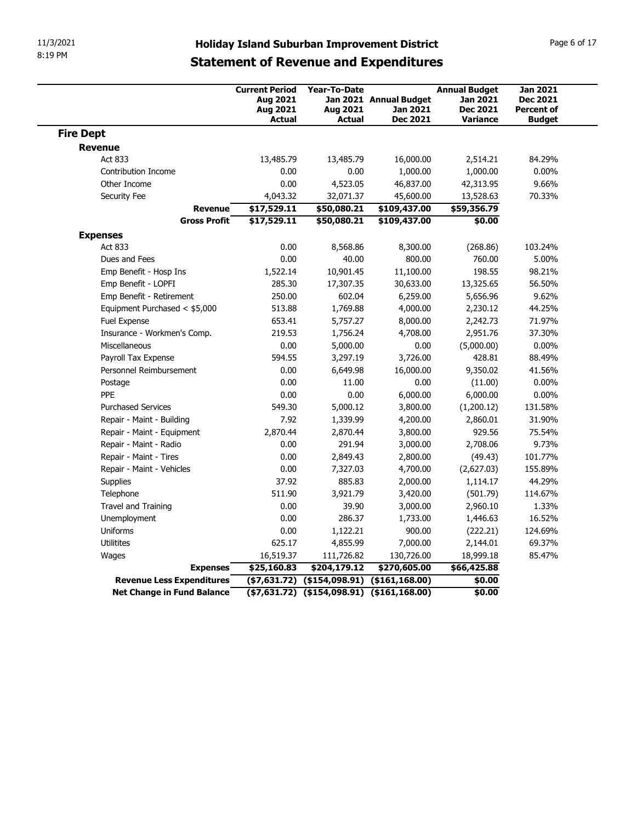| 11/3/2021                                               |                                                                                                     |                                           |                                                       |                                                                        |                                                                          |
|---------------------------------------------------------|-----------------------------------------------------------------------------------------------------|-------------------------------------------|-------------------------------------------------------|------------------------------------------------------------------------|--------------------------------------------------------------------------|
| 8:19 PM                                                 | <b>Holiday Island Suburban Improvement District</b><br><b>Statement of Revenue and Expenditures</b> |                                           |                                                       |                                                                        | Page 6 of 17                                                             |
|                                                         | <b>Current Period</b><br>Aug 2021<br>Aug 2021<br><b>Actual</b>                                      | Year-To-Date<br>Aug 2021<br><b>Actual</b> | Jan 2021 Annual Budget<br>Jan 2021<br><b>Dec 2021</b> | <b>Annual Budget</b><br>Jan 2021<br><b>Dec 2021</b><br><b>Variance</b> | <b>Jan 2021</b><br><b>Dec 2021</b><br><b>Percent of</b><br><b>Budget</b> |
| <b>Fire Dept</b>                                        |                                                                                                     |                                           |                                                       |                                                                        |                                                                          |
| <b>Revenue</b>                                          |                                                                                                     |                                           |                                                       |                                                                        |                                                                          |
| Act 833                                                 | 13,485.79                                                                                           | 13,485.79                                 | 16,000.00                                             | 2,514.21                                                               | 84.29%                                                                   |
| Contribution Income                                     | 0.00                                                                                                | 0.00                                      | 1,000.00                                              | 1,000.00                                                               | $0.00\%$                                                                 |
| Other Income                                            | 0.00                                                                                                | 4,523.05                                  | 46,837.00                                             | 42,313.95                                                              | 9.66%                                                                    |
| Security Fee                                            | 4,043.32<br>\$17,529.11<br><b>Revenue</b>                                                           | 32,071.37<br>\$50,080.21                  | 45,600.00<br>\$109,437.00                             | 13,528.63<br>\$59,356.79                                               | 70.33%                                                                   |
| <b>Gross Profit</b>                                     | \$17,529.11                                                                                         | \$50,080.21                               | \$109,437.00                                          | \$0.00                                                                 |                                                                          |
| <b>Expenses</b>                                         |                                                                                                     |                                           |                                                       |                                                                        |                                                                          |
| Act 833                                                 | 0.00                                                                                                | 8,568.86                                  | 8,300.00                                              | (268.86)                                                               | 103.24%                                                                  |
| Dues and Fees                                           | 0.00                                                                                                | 40.00                                     | 800.00                                                | 760.00                                                                 | 5.00%                                                                    |
| Emp Benefit - Hosp Ins                                  | 1,522.14                                                                                            | 10,901.45                                 | 11,100.00                                             | 198.55                                                                 | 98.21%                                                                   |
| Emp Benefit - LOPFI                                     | 285.30                                                                                              | 17,307.35                                 | 30,633.00                                             | 13,325.65                                                              | 56.50%                                                                   |
| Emp Benefit - Retirement                                | 250.00                                                                                              | 602.04                                    | 6,259.00                                              | 5,656.96                                                               | 9.62%                                                                    |
| Equipment Purchased < \$5,000<br>Fuel Expense           | 513.88<br>653.41                                                                                    | 1,769.88<br>5,757.27                      | 4,000.00<br>8,000.00                                  | 2,230.12<br>2,242.73                                                   | 44.25%<br>71.97%                                                         |
| Insurance - Workmen's Comp.                             | 219.53                                                                                              | 1,756.24                                  | 4,708.00                                              | 2,951.76                                                               | 37.30%                                                                   |
| Miscellaneous                                           | 0.00                                                                                                | 5,000.00                                  | 0.00                                                  | (5,000.00)                                                             | $0.00\%$                                                                 |
| Payroll Tax Expense                                     | 594.55                                                                                              | 3,297.19                                  | 3,726.00                                              | 428.81                                                                 | 88.49%                                                                   |
| Personnel Reimbursement                                 | 0.00                                                                                                | 6,649.98                                  | 16,000.00                                             | 9,350.02                                                               | 41.56%                                                                   |
| Postage                                                 | 0.00                                                                                                | 11.00                                     | 0.00                                                  | (11.00)                                                                | $0.00\%$                                                                 |
| PPE                                                     | 0.00                                                                                                | 0.00                                      | 6,000.00                                              | 6,000.00                                                               | $0.00\%$                                                                 |
| <b>Purchased Services</b>                               | 549.30                                                                                              | 5,000.12                                  | 3,800.00                                              | (1,200.12)                                                             | 131.58%                                                                  |
| Repair - Maint - Building<br>Repair - Maint - Equipment | 7.92<br>2,870.44                                                                                    | 1,339.99<br>2,870.44                      | 4,200.00<br>3,800.00                                  | 2,860.01<br>929.56                                                     | 31.90%<br>75.54%                                                         |
| Repair - Maint - Radio                                  | 0.00                                                                                                | 291.94                                    | 3,000.00                                              | 2,708.06                                                               | 9.73%                                                                    |
| Repair - Maint - Tires                                  | 0.00                                                                                                | 2,849.43                                  | 2,800.00                                              | (49.43)                                                                | 101.77%                                                                  |
| Repair - Maint - Vehicles                               | 0.00                                                                                                | 7,327.03                                  | 4,700.00                                              | (2,627.03)                                                             | 155.89%                                                                  |
| Supplies                                                | 37.92                                                                                               | 885.83                                    | 2,000.00                                              | 1,114.17                                                               | 44.29%                                                                   |
| Telephone                                               | 511.90                                                                                              | 3,921.79                                  | 3,420.00                                              | (501.79)                                                               | 114.67%                                                                  |
| Travel and Training                                     | 0.00                                                                                                | 39.90                                     | 3,000.00                                              | 2,960.10                                                               | 1.33%                                                                    |
| Unemployment                                            | 0.00                                                                                                | 286.37                                    | 1,733.00                                              | 1,446.63                                                               | 16.52%                                                                   |
| Uniforms                                                | 0.00                                                                                                | 1,122.21                                  | 900.00                                                | (222.21)                                                               | 124.69%                                                                  |
| Utilitites                                              | 625.17                                                                                              | 4,855.99                                  | 7,000.00                                              | 2,144.01                                                               | 69.37%                                                                   |
| Wages                                                   | 16,519.37                                                                                           | 111,726.82                                | 130,726.00                                            | 18,999.18                                                              | 85.47%                                                                   |
|                                                         | <b>Expenses</b><br>\$25,160.83                                                                      | \$204,179.12                              | \$270,605.00                                          | \$66,425.88                                                            |                                                                          |
| Revenue Less Expenditures                               |                                                                                                     |                                           | $( $7,631.72)$ $( $154,098.91)$ $( $161,168.00)$      | \$0.00                                                                 |                                                                          |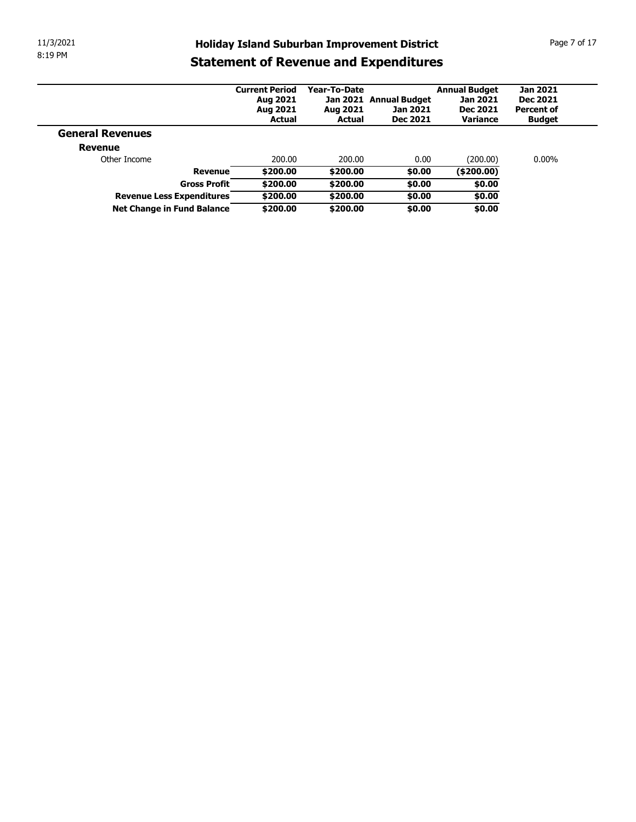| 11/3/2021                      |                       |              | <b>Holiday Island Suburban Improvement District</b> |                      | Page 7 of 17      |
|--------------------------------|-----------------------|--------------|-----------------------------------------------------|----------------------|-------------------|
| 8:19 PM                        |                       |              | <b>Statement of Revenue and Expenditures</b>        |                      |                   |
|                                | <b>Current Period</b> | Year-To-Date |                                                     | <b>Annual Budget</b> | <b>Jan 2021</b>   |
|                                | Aug 2021              |              | Jan 2021 Annual Budget                              | Jan 2021             | <b>Dec 2021</b>   |
|                                | Aug 2021              | Aug 2021     | Jan 2021                                            | <b>Dec 2021</b>      | <b>Percent of</b> |
| <b>General Revenues</b>        | Actual                | Actual       | <b>Dec 2021</b>                                     | Variance             | <b>Budget</b>     |
|                                |                       |              |                                                     |                      |                   |
| <b>Revenue</b><br>Other Income | 200.00                | 200.00       | 0.00                                                | (200.00)             | $0.00\%$          |
| Revenue                        | \$200.00              | \$200.00     | \$0.00                                              | (\$200.00)           |                   |
| <b>Gross Profit</b>            | \$200.00              | \$200.00     | \$0.00                                              | \$0.00               |                   |
| Revenue Less Expenditures      | \$200.00              | \$200.00     | \$0.00                                              | \$0.00               |                   |
| Net Change in Fund Balance     | \$200.00              | \$200.00     | \$0.00                                              | \$0.00               |                   |
|                                |                       |              |                                                     |                      |                   |
|                                |                       |              |                                                     |                      |                   |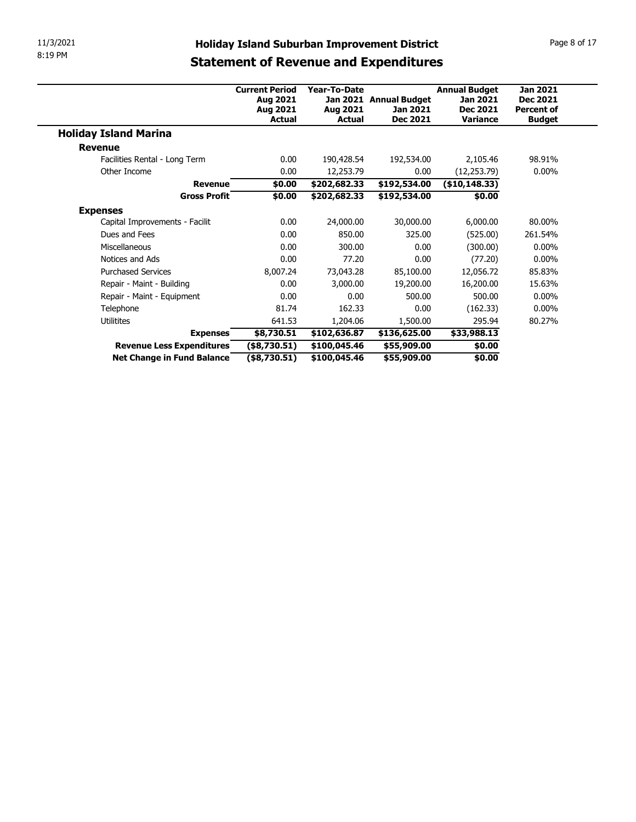| 11/3/2021                                               |                                 |                              |                                                     |                               | Page 8 of 17                         |  |  |  |
|---------------------------------------------------------|---------------------------------|------------------------------|-----------------------------------------------------|-------------------------------|--------------------------------------|--|--|--|
| 8:19 PM                                                 |                                 |                              | <b>Holiday Island Suburban Improvement District</b> |                               |                                      |  |  |  |
|                                                         |                                 |                              | <b>Statement of Revenue and Expenditures</b>        |                               |                                      |  |  |  |
|                                                         |                                 |                              |                                                     |                               |                                      |  |  |  |
|                                                         | <b>Current Period</b>           | Year-To-Date                 |                                                     | <b>Annual Budget</b>          | <b>Jan 2021</b>                      |  |  |  |
|                                                         | Aug 2021<br>Aug 2021            | Aug 2021                     | Jan 2021 Annual Budget<br>Jan 2021                  | Jan 2021<br><b>Dec 2021</b>   | <b>Dec 2021</b><br><b>Percent of</b> |  |  |  |
|                                                         | <b>Actual</b>                   | <b>Actual</b>                | <b>Dec 2021</b>                                     | <b>Variance</b>               | <b>Budget</b>                        |  |  |  |
| <b>Holiday Island Marina</b>                            |                                 |                              |                                                     |                               |                                      |  |  |  |
|                                                         |                                 |                              |                                                     |                               |                                      |  |  |  |
|                                                         |                                 |                              | 192,534.00                                          |                               |                                      |  |  |  |
| <b>Revenue</b>                                          | 0.00                            |                              |                                                     | 2,105.46                      | 98.91%                               |  |  |  |
| Facilities Rental - Long Term<br>Other Income           | 0.00                            | 190,428.54                   | 0.00                                                |                               | $0.00\%$                             |  |  |  |
| <b>Revenue</b>                                          | \$0.00                          | 12,253.79<br>\$202,682.33    | \$192,534.00                                        | (12, 253.79)<br>(\$10,148.33) |                                      |  |  |  |
| <b>Gross Profit</b>                                     | \$0.00                          | \$202,682.33                 | \$192,534.00                                        | \$0.00                        |                                      |  |  |  |
|                                                         |                                 |                              |                                                     |                               |                                      |  |  |  |
| <b>Expenses</b><br>Capital Improvements - Facilit       | 0.00                            | 24,000.00                    | 30,000.00                                           | 6,000.00                      | 80.00%                               |  |  |  |
| Dues and Fees                                           | 0.00                            | 850.00                       | 325.00                                              | (525.00)                      | 261.54%                              |  |  |  |
| Miscellaneous                                           | $0.00\,$                        | 300.00                       | 0.00                                                | (300.00)                      | $0.00\%$                             |  |  |  |
| Notices and Ads                                         | 0.00                            | 77.20                        | 0.00                                                | (77.20)                       | $0.00\%$                             |  |  |  |
| <b>Purchased Services</b>                               | 8,007.24                        | 73,043.28                    | 85,100.00                                           | 12,056.72                     | 85.83%                               |  |  |  |
| Repair - Maint - Building                               | 0.00                            | 3,000.00                     | 19,200.00                                           | 16,200.00                     | 15.63%                               |  |  |  |
| Repair - Maint - Equipment                              | 0.00                            | 0.00                         | 500.00                                              | 500.00                        | $0.00\%$                             |  |  |  |
| Telephone                                               | 81.74                           | 162.33                       | 0.00                                                | (162.33)                      | $0.00\%$                             |  |  |  |
| Utilitites                                              | 641.53                          | 1,204.06                     | 1,500.00                                            | 295.94                        | 80.27%                               |  |  |  |
| <b>Expenses</b>                                         | \$8,730.51                      | \$102,636.87                 | \$136,625.00                                        | \$33,988.13                   |                                      |  |  |  |
| Revenue Less Expenditures<br>Net Change in Fund Balance | (\$8,730.51)<br>$($ \$8,730.51) | \$100,045.46<br>\$100,045.46 | \$55,909.00<br>\$55,909.00                          | \$0.00<br>\$0.00              |                                      |  |  |  |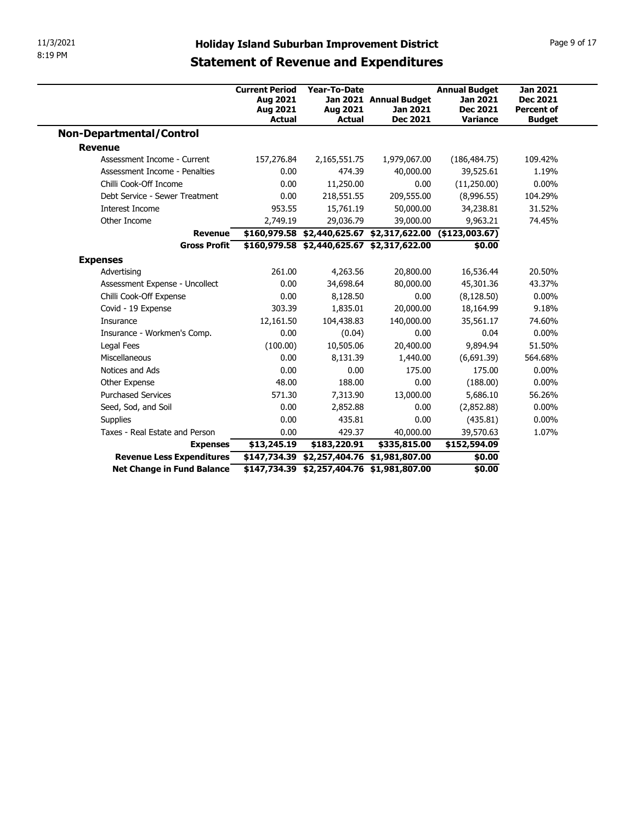| 11/3/2021                                    | <b>Holiday Island Suburban Improvement District</b>     |                                                            |                                                              |                             | Page 9 of 17                       |
|----------------------------------------------|---------------------------------------------------------|------------------------------------------------------------|--------------------------------------------------------------|-----------------------------|------------------------------------|
| 8:19 PM                                      | <b>Statement of Revenue and Expenditures</b>            |                                                            |                                                              |                             |                                    |
|                                              |                                                         |                                                            |                                                              |                             |                                    |
|                                              | <b>Current Period</b>                                   | Year-To-Date                                               |                                                              | <b>Annual Budget</b>        | <b>Jan 2021</b>                    |
|                                              | Aug 2021                                                |                                                            | Jan 2021 Annual Budget                                       | Jan 2021                    | <b>Dec 2021</b>                    |
|                                              | Aug 2021<br>Actual                                      | Aug 2021<br>Actual                                         | Jan 2021<br>Dec 2021                                         | <b>Dec 2021</b><br>Variance | <b>Percent of</b><br><b>Budget</b> |
| <b>Non-Departmental/Control</b>              |                                                         |                                                            |                                                              |                             |                                    |
| <b>Revenue</b>                               |                                                         |                                                            |                                                              |                             |                                    |
| Assessment Income - Current                  | 157,276.84                                              | 2,165,551.75                                               | 1,979,067.00                                                 | (186, 484.75)               | 109.42%                            |
| Assessment Income - Penalties                | 0.00                                                    | 474.39                                                     | 40,000.00                                                    | 39,525.61                   | 1.19%                              |
| Chilli Cook-Off Income                       | 0.00                                                    | 11,250.00                                                  | 0.00                                                         | (11,250.00)                 | $0.00\%$                           |
| Debt Service - Sewer Treatment               | 0.00                                                    | 218,551.55                                                 | 209,555.00                                                   | (8,996.55)                  | 104.29%                            |
| Interest Income                              | 953.55                                                  | 15,761.19                                                  | 50,000.00                                                    | 34,238.81                   | 31.52%                             |
| Other Income                                 | 2,749.19                                                | 29,036.79                                                  | 39,000.00                                                    | 9,963.21                    | 74.45%                             |
|                                              |                                                         |                                                            | $$160,979.58$ $$2,440,625.67$ $$2,317,622.00$ (\$123,003.67) |                             |                                    |
| Revenue                                      |                                                         |                                                            |                                                              |                             |                                    |
|                                              | Gross Profit \$160,979.58 \$2,440,625.67 \$2,317,622.00 |                                                            |                                                              | \$0.00                      |                                    |
| <b>Expenses</b>                              |                                                         |                                                            |                                                              |                             |                                    |
| Advertising                                  | 261.00                                                  | 4,263.56                                                   | 20,800.00                                                    | 16,536.44                   | 20.50%                             |
| Assessment Expense - Uncollect               | 0.00                                                    | 34,698.64                                                  | 80,000.00                                                    | 45,301.36                   | 43.37%                             |
| Chilli Cook-Off Expense                      | 0.00                                                    | 8,128.50                                                   | 0.00                                                         | (8, 128.50)                 | $0.00\%$                           |
| Covid - 19 Expense                           | 303.39                                                  | 1,835.01                                                   | 20,000.00                                                    | 18,164.99                   | 9.18%                              |
| Insurance                                    | 12,161.50                                               | 104,438.83                                                 | 140,000.00                                                   | 35,561.17                   | 74.60%                             |
| Insurance - Workmen's Comp.                  | 0.00                                                    | (0.04)                                                     | 0.00                                                         | 0.04                        | $0.00\%$                           |
| Legal Fees                                   | (100.00)                                                | 10,505.06                                                  | 20,400.00                                                    | 9,894.94                    | 51.50%                             |
| Miscellaneous                                | 0.00                                                    | 8,131.39                                                   | 1,440.00                                                     | (6,691.39)                  | 564.68%                            |
| Notices and Ads                              | 0.00                                                    | 0.00                                                       | 175.00                                                       | 175.00                      | $0.00\%$                           |
| Other Expense                                | 48.00                                                   | 188.00                                                     | 0.00                                                         | (188.00)                    | $0.00\%$                           |
| <b>Purchased Services</b>                    | 571.30                                                  | 7,313.90                                                   | 13,000.00                                                    | 5,686.10                    | 56.26%                             |
| Seed, Sod, and Soil                          | 0.00                                                    | 2,852.88                                                   | 0.00                                                         | (2,852.88)                  | $0.00\%$                           |
| Supplies                                     | 0.00                                                    | 435.81                                                     | 0.00                                                         | (435.81)                    | $0.00\%$                           |
| Taxes - Real Estate and Person               | 0.00                                                    | 429.37                                                     | 40,000.00                                                    | 39,570.63                   | 1.07%                              |
| <b>Expenses</b><br>Revenue Less Expenditures | \$13,245.19                                             | \$183,220.91<br>\$147,734.39 \$2,257,404.76 \$1,981,807.00 | \$335,815.00                                                 | \$152,594.09<br>\$0.00      |                                    |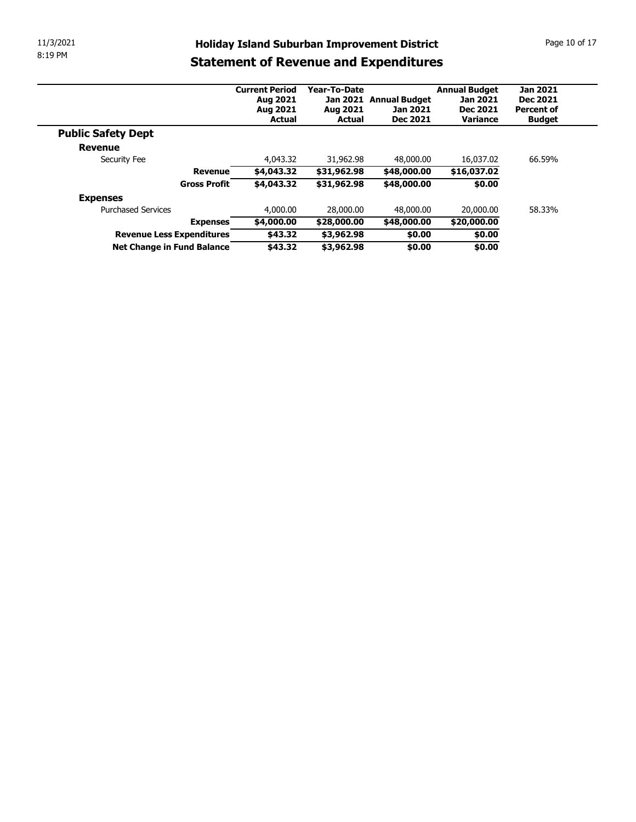| 11/3/2021 |                                                         |                       |                          | <b>Holiday Island Suburban Improvement District</b> |                             | Page 10 of 17                 |
|-----------|---------------------------------------------------------|-----------------------|--------------------------|-----------------------------------------------------|-----------------------------|-------------------------------|
| 8:19 PM   |                                                         |                       |                          | <b>Statement of Revenue and Expenditures</b>        |                             |                               |
|           |                                                         |                       |                          |                                                     |                             |                               |
|           |                                                         | <b>Current Period</b> | Year-To-Date             |                                                     | <b>Annual Budget</b>        | <b>Jan 2021</b>               |
|           |                                                         | Aug 2021<br>Aug 2021  | Aug 2021                 | Jan 2021 Annual Budget<br>Jan 2021                  | Jan 2021<br><b>Dec 2021</b> | Dec 2021<br><b>Percent of</b> |
|           |                                                         | <b>Actual</b>         | <b>Actual</b>            | Dec 2021                                            | Variance                    | <b>Budget</b>                 |
|           | <b>Public Safety Dept</b>                               |                       |                          |                                                     |                             |                               |
|           | Revenue                                                 |                       |                          |                                                     |                             |                               |
|           | Security Fee                                            | 4,043.32              | 31,962.98                | 48,000.00                                           | 16,037.02                   | 66.59%                        |
|           | <b>Revenue</b>                                          | \$4,043.32            | \$31,962.98              | \$48,000.00                                         | \$16,037.02                 |                               |
|           | <b>Gross Profit</b>                                     | \$4,043.32            | \$31,962.98              | \$48,000.00                                         | \$0.00                      |                               |
|           | <b>Expenses</b>                                         |                       |                          |                                                     |                             |                               |
|           | <b>Purchased Services</b>                               | 4,000.00              | 28,000.00                | 48,000.00                                           | 20,000.00                   | 58.33%                        |
|           | <b>Expenses</b>                                         | \$4,000.00            | \$28,000.00              | \$48,000.00                                         | \$20,000.00                 |                               |
|           | Revenue Less Expenditures<br>Net Change in Fund Balance | \$43.32<br>\$43.32    | \$3,962.98<br>\$3,962.98 | \$0.00<br>\$0.00                                    | \$0.00<br>\$0.00            |                               |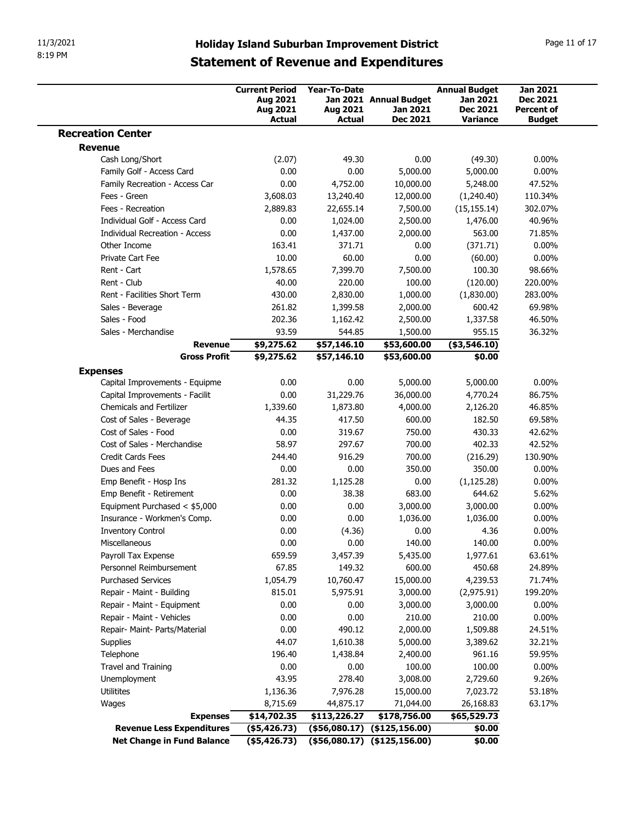|                                                  |                                                             |                                                                |                                                  | <b>Holiday Island Suburban Improvement District</b><br><b>Statement of Revenue and Expenditures</b> |                                                                 | Page 11 of 17                                           |
|--------------------------------------------------|-------------------------------------------------------------|----------------------------------------------------------------|--------------------------------------------------|-----------------------------------------------------------------------------------------------------|-----------------------------------------------------------------|---------------------------------------------------------|
|                                                  |                                                             | <b>Current Period</b><br>Aug 2021<br>Aug 2021<br><b>Actual</b> | <b>Year-To-Date</b><br>Aug 2021<br><b>Actual</b> | Jan 2021 Annual Budget<br>Jan 2021<br>Dec 2021                                                      | <b>Annual Budget</b><br>Jan 2021<br><b>Dec 2021</b><br>Variance | <b>Jan 2021</b><br><b>Dec 2021</b><br><b>Percent of</b> |
| <b>Recreation Center</b>                         |                                                             |                                                                |                                                  |                                                                                                     |                                                                 | <b>Budget</b>                                           |
| <b>Revenue</b>                                   |                                                             |                                                                |                                                  |                                                                                                     |                                                                 |                                                         |
| Cash Long/Short                                  |                                                             | (2.07)                                                         | 49.30                                            | 0.00                                                                                                | (49.30)                                                         | $0.00\%$                                                |
|                                                  | Family Golf - Access Card<br>Family Recreation - Access Car | 0.00<br>0.00                                                   | 0.00<br>4,752.00                                 | 5,000.00<br>10,000.00                                                                               | 5,000.00<br>5,248.00                                            | $0.00\%$<br>47.52%                                      |
| Fees - Green                                     |                                                             | 3,608.03                                                       | 13,240.40                                        | 12,000.00                                                                                           | (1,240.40)                                                      | 110.34%                                                 |
| Fees - Recreation                                |                                                             | 2,889.83                                                       | 22,655.14                                        | 7,500.00                                                                                            | (15, 155.14)                                                    | 302.07%                                                 |
|                                                  | Individual Golf - Access Card                               | 0.00                                                           | 1,024.00                                         | 2,500.00                                                                                            | 1,476.00                                                        | 40.96%                                                  |
|                                                  | Individual Recreation - Access                              | 0.00                                                           | 1,437.00                                         | 2,000.00                                                                                            | 563.00                                                          | 71.85%                                                  |
| Other Income                                     |                                                             | 163.41                                                         | 371.71                                           | 0.00                                                                                                | (371.71)                                                        | $0.00\%$                                                |
| Private Cart Fee<br>Rent - Cart                  |                                                             | 10.00<br>1,578.65                                              | 60.00<br>7,399.70                                | 0.00<br>7,500.00                                                                                    | (60.00)<br>100.30                                               | $0.00\%$<br>98.66%                                      |
| Rent - Club                                      |                                                             | 40.00                                                          | 220.00                                           | 100.00                                                                                              | (120.00)                                                        | 220.00%                                                 |
|                                                  | Rent - Facilities Short Term                                | 430.00                                                         | 2,830.00                                         | 1,000.00                                                                                            | (1,830.00)                                                      | 283.00%                                                 |
| Sales - Beverage                                 |                                                             | 261.82                                                         | 1,399.58                                         | 2,000.00                                                                                            | 600.42                                                          | 69.98%                                                  |
| Sales - Food                                     |                                                             | 202.36                                                         | 1,162.42                                         | 2,500.00                                                                                            | 1,337.58                                                        | 46.50%                                                  |
| Sales - Merchandise                              | <b>Revenue</b>                                              | 93.59<br>\$9,275.62                                            | 544.85<br>\$57,146.10                            | 1,500.00<br>\$53,600.00                                                                             | 955.15<br>$($ \$3,546.10)                                       | 36.32%                                                  |
|                                                  | <b>Gross Profit</b>                                         | \$9,275.62                                                     | \$57,146.10                                      | \$53,600.00                                                                                         | \$0.00                                                          |                                                         |
| <b>Expenses</b>                                  |                                                             |                                                                |                                                  |                                                                                                     |                                                                 |                                                         |
|                                                  | Capital Improvements - Equipme                              | 0.00                                                           | 0.00                                             | 5,000.00                                                                                            | 5,000.00                                                        | $0.00\%$                                                |
|                                                  | Capital Improvements - Facilit                              | 0.00                                                           | 31,229.76                                        | 36,000.00                                                                                           | 4,770.24                                                        | 86.75%                                                  |
| <b>Chemicals and Fertilizer</b>                  |                                                             | 1,339.60                                                       | 1,873.80                                         | 4,000.00                                                                                            | 2,126.20                                                        | 46.85%                                                  |
| Cost of Sales - Beverage<br>Cost of Sales - Food |                                                             | 44.35<br>0.00                                                  | 417.50<br>319.67                                 | 600.00<br>750.00                                                                                    | 182.50<br>430.33                                                | 69.58%<br>42.62%                                        |
|                                                  | Cost of Sales - Merchandise                                 | 58.97                                                          | 297.67                                           | 700.00                                                                                              | 402.33                                                          | 42.52%                                                  |
| Credit Cards Fees                                |                                                             | 244.40                                                         | 916.29                                           | 700.00                                                                                              | (216.29)                                                        | 130.90%                                                 |
| Dues and Fees                                    |                                                             | 0.00                                                           | 0.00                                             | 350.00                                                                                              | 350.00                                                          | $0.00\%$                                                |
| Emp Benefit - Hosp Ins                           |                                                             | 281.32                                                         | 1,125.28                                         | 0.00                                                                                                | (1, 125.28)                                                     | $0.00\%$                                                |
|                                                  | Emp Benefit - Retirement                                    | 0.00                                                           | 38.38                                            | 683.00                                                                                              | 644.62                                                          | 5.62%                                                   |
|                                                  | Equipment Purchased < \$5,000                               | 0.00                                                           | 0.00<br>0.00                                     | 3,000.00                                                                                            | 3,000.00                                                        | $0.00\%$                                                |
| <b>Inventory Control</b>                         | Insurance - Workmen's Comp.                                 | 0.00<br>0.00                                                   | (4.36)                                           | 1,036.00<br>0.00                                                                                    | 1,036.00<br>4.36                                                | $0.00\%$<br>$0.00\%$                                    |
| Miscellaneous                                    |                                                             | 0.00                                                           | 0.00                                             | 140.00                                                                                              | 140.00                                                          | $0.00\%$                                                |
| Payroll Tax Expense                              |                                                             | 659.59                                                         | 3,457.39                                         | 5,435.00                                                                                            | 1,977.61                                                        | 63.61%                                                  |
|                                                  | Personnel Reimbursement                                     | 67.85                                                          | 149.32                                           | 600.00                                                                                              | 450.68                                                          | 24.89%                                                  |
| <b>Purchased Services</b>                        |                                                             | 1,054.79                                                       | 10,760.47                                        | 15,000.00                                                                                           | 4,239.53                                                        | 71.74%                                                  |
| Repair - Maint - Building                        |                                                             | 815.01                                                         | 5,975.91                                         | 3,000.00                                                                                            | (2,975.91)                                                      | 199.20%                                                 |
| Repair - Maint - Vehicles                        | Repair - Maint - Equipment                                  | 0.00<br>0.00                                                   | 0.00<br>0.00                                     | 3,000.00<br>210.00                                                                                  | 3,000.00<br>210.00                                              | $0.00\%$<br>$0.00\%$                                    |
|                                                  | Repair- Maint- Parts/Material                               | 0.00                                                           | 490.12                                           | 2,000.00                                                                                            | 1,509.88                                                        | 24.51%                                                  |
| Supplies                                         |                                                             | 44.07                                                          | 1,610.38                                         | 5,000.00                                                                                            | 3,389.62                                                        | 32.21%                                                  |
| Telephone                                        |                                                             | 196.40                                                         | 1,438.84                                         | 2,400.00                                                                                            | 961.16                                                          | 59.95%                                                  |
|                                                  |                                                             | 0.00                                                           | 0.00                                             | 100.00                                                                                              | 100.00                                                          | $0.00\%$                                                |
| Travel and Training                              |                                                             | 43.95                                                          | 278.40                                           | 3,008.00                                                                                            | 2,729.60                                                        | 9.26%                                                   |
| Unemployment                                     |                                                             |                                                                |                                                  | 15,000.00                                                                                           | 7,023.72                                                        | 53.18%                                                  |
| Utilitites                                       |                                                             | 1,136.36                                                       | 7,976.28                                         |                                                                                                     |                                                                 |                                                         |
| Wages                                            |                                                             | 8,715.69                                                       | 44,875.17                                        | 71,044.00                                                                                           | 26,168.83                                                       | 63.17%                                                  |
|                                                  | <b>Expenses</b><br><b>Revenue Less Expenditures</b>         | \$14,702.35<br>$($ \$5,426.73)                                 | \$113,226.27                                     | \$178,756.00<br>$($ \$56,080.17) $($ \$125,156.00)                                                  | \$65,529.73<br>\$0.00                                           |                                                         |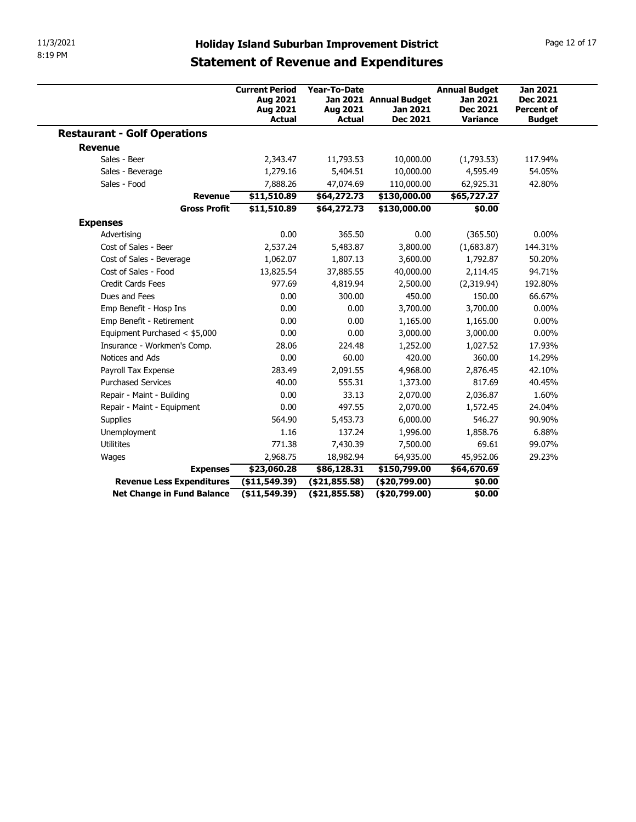| 11/3/2021<br>8:19 PM                                |                                                                |                                                  |                                                                                                     |                                                                        |                                                                          |
|-----------------------------------------------------|----------------------------------------------------------------|--------------------------------------------------|-----------------------------------------------------------------------------------------------------|------------------------------------------------------------------------|--------------------------------------------------------------------------|
|                                                     |                                                                |                                                  | <b>Holiday Island Suburban Improvement District</b><br><b>Statement of Revenue and Expenditures</b> |                                                                        | Page 12 of 17                                                            |
|                                                     | <b>Current Period</b><br>Aug 2021<br>Aug 2021<br><b>Actual</b> | <b>Year-To-Date</b><br>Aug 2021<br><b>Actual</b> | Jan 2021 Annual Budget<br>Jan 2021<br>Dec 2021                                                      | <b>Annual Budget</b><br><b>Jan 2021</b><br><b>Dec 2021</b><br>Variance | <b>Jan 2021</b><br><b>Dec 2021</b><br><b>Percent of</b><br><b>Budget</b> |
| <b>Restaurant - Golf Operations</b>                 |                                                                |                                                  |                                                                                                     |                                                                        |                                                                          |
| <b>Revenue</b>                                      |                                                                |                                                  |                                                                                                     |                                                                        |                                                                          |
| Sales - Beer                                        | 2,343.47                                                       | 11,793.53                                        | 10,000.00                                                                                           | (1,793.53)                                                             | 117.94%                                                                  |
| Sales - Beverage                                    | 1,279.16                                                       | 5,404.51                                         | 10,000.00                                                                                           | 4,595.49                                                               | 54.05%                                                                   |
| Sales - Food                                        | 7,888.26                                                       | 47,074.69                                        | 110,000.00                                                                                          | 62,925.31                                                              | 42.80%                                                                   |
| <b>Revenue</b>                                      | \$11,510.89                                                    | \$64,272.73                                      | \$130,000.00                                                                                        | \$65,727.27                                                            |                                                                          |
| <b>Gross Profit</b>                                 | \$11,510.89                                                    | \$64,272.73                                      | \$130,000.00                                                                                        | \$0.00                                                                 |                                                                          |
|                                                     |                                                                |                                                  |                                                                                                     |                                                                        |                                                                          |
| <b>Expenses</b><br>Advertising                      | 0.00                                                           | 365.50                                           | $0.00\,$                                                                                            | (365.50)                                                               | $0.00\%$                                                                 |
| Cost of Sales - Beer                                | 2,537.24                                                       | 5,483.87                                         | 3,800.00                                                                                            | (1,683.87)                                                             | 144.31%                                                                  |
| Cost of Sales - Beverage                            | 1,062.07                                                       | 1,807.13                                         | 3,600.00                                                                                            | 1,792.87                                                               | 50.20%                                                                   |
| Cost of Sales - Food                                | 13,825.54                                                      | 37,885.55                                        | 40,000.00                                                                                           | 2,114.45                                                               | 94.71%                                                                   |
| Credit Cards Fees                                   | 977.69                                                         | 4,819.94                                         | 2,500.00                                                                                            | (2,319.94)                                                             | 192.80%                                                                  |
| Dues and Fees                                       | 0.00                                                           | 300.00                                           | 450.00                                                                                              | 150.00                                                                 | 66.67%                                                                   |
| Emp Benefit - Hosp Ins                              | 0.00                                                           | 0.00                                             | 3,700.00                                                                                            | 3,700.00                                                               | $0.00\%$                                                                 |
| Emp Benefit - Retirement                            | 0.00                                                           | 0.00                                             | 1,165.00                                                                                            | 1,165.00                                                               | $0.00\%$                                                                 |
| Equipment Purchased < \$5,000                       | 0.00                                                           | 0.00                                             | 3,000.00                                                                                            | 3,000.00                                                               | $0.00\%$                                                                 |
| Insurance - Workmen's Comp.                         | 28.06                                                          | 224.48                                           | 1,252.00                                                                                            | 1,027.52                                                               | 17.93%                                                                   |
| Notices and Ads                                     | 0.00                                                           | 60.00                                            | 420.00                                                                                              | 360.00                                                                 | 14.29%                                                                   |
| Payroll Tax Expense                                 | 283.49                                                         | 2,091.55                                         | 4,968.00                                                                                            | 2,876.45                                                               | 42.10%                                                                   |
| <b>Purchased Services</b>                           | 40.00                                                          | 555.31                                           | 1,373.00                                                                                            | 817.69                                                                 | 40.45%                                                                   |
| Repair - Maint - Building                           | 0.00                                                           | 33.13                                            | 2,070.00                                                                                            | 2,036.87                                                               | 1.60%                                                                    |
| Repair - Maint - Equipment                          | 0.00                                                           | 497.55                                           | 2,070.00                                                                                            | 1,572.45                                                               | 24.04%                                                                   |
|                                                     | 564.90                                                         | 5,453.73                                         | 6,000.00                                                                                            | 546.27                                                                 | 90.90%                                                                   |
|                                                     | 1.16                                                           | 137.24                                           | 1,996.00                                                                                            | 1,858.76                                                               | 6.88%                                                                    |
| Supplies                                            |                                                                | 7,430.39                                         | 7,500.00                                                                                            | 69.61                                                                  | 99.07%                                                                   |
| Unemployment                                        |                                                                |                                                  | 64,935.00                                                                                           | 45,952.06                                                              | 29.23%                                                                   |
| Utilitites                                          | 771.38                                                         |                                                  |                                                                                                     | \$64,670.69                                                            |                                                                          |
| Wages                                               | 2,968.75                                                       | 18,982.94                                        |                                                                                                     |                                                                        |                                                                          |
| <b>Expenses</b><br><b>Revenue Less Expenditures</b> | \$23,060.28<br>(\$11,549.39)                                   | \$86,128.31<br>(\$21,855.58)                     | \$150,799.00<br>(\$20,799.00)                                                                       | \$0.00                                                                 |                                                                          |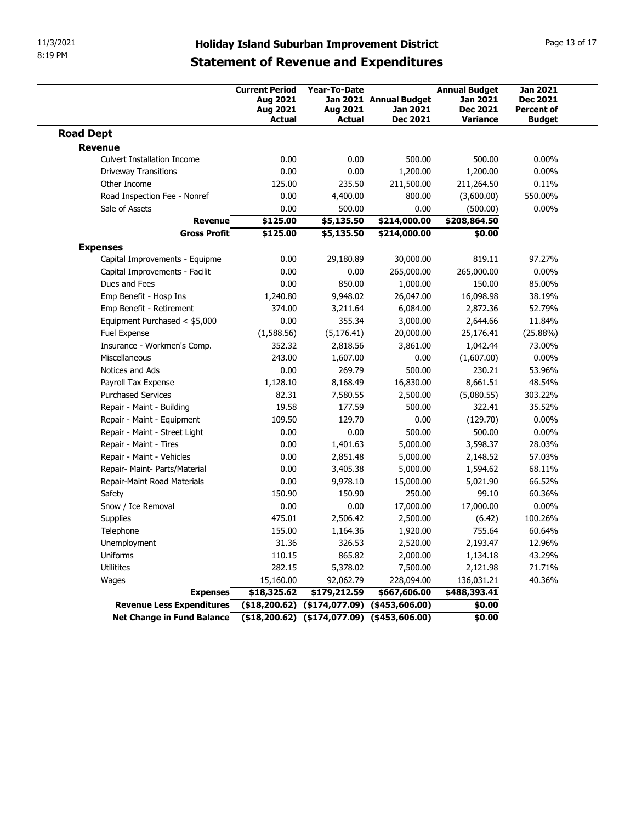| 8:19 PM                                                 |                                               |                                                      | <b>Holiday Island Suburban Improvement District</b> |                                                     | Page 13 of 17                                           |  |  |
|---------------------------------------------------------|-----------------------------------------------|------------------------------------------------------|-----------------------------------------------------|-----------------------------------------------------|---------------------------------------------------------|--|--|
|                                                         | <b>Statement of Revenue and Expenditures</b>  |                                                      |                                                     |                                                     |                                                         |  |  |
|                                                         | <b>Current Period</b><br>Aug 2021<br>Aug 2021 | <b>Year-To-Date</b><br>Aug 2021                      | Jan 2021 Annual Budget<br>Jan 2021                  | <b>Annual Budget</b><br>Jan 2021<br><b>Dec 2021</b> | <b>Jan 2021</b><br><b>Dec 2021</b><br><b>Percent of</b> |  |  |
| <b>Road Dept</b>                                        | <b>Actual</b>                                 | <b>Actual</b>                                        | Dec 2021                                            | <b>Variance</b>                                     | <b>Budget</b>                                           |  |  |
| <b>Revenue</b>                                          |                                               |                                                      |                                                     |                                                     |                                                         |  |  |
| <b>Culvert Installation Income</b>                      | 0.00                                          | 0.00                                                 | 500.00                                              | 500.00                                              | $0.00\%$                                                |  |  |
| <b>Driveway Transitions</b>                             | 0.00                                          | 0.00                                                 | 1,200.00                                            | 1,200.00                                            | $0.00\%$                                                |  |  |
| Other Income                                            | 125.00                                        | 235.50                                               | 211,500.00                                          | 211,264.50                                          | 0.11%                                                   |  |  |
| Road Inspection Fee - Nonref<br>Sale of Assets          | 0.00<br>0.00                                  | 4,400.00<br>500.00                                   | 800.00<br>0.00                                      | (3,600.00)<br>(500.00)                              | 550.00%<br>$0.00\%$                                     |  |  |
| <b>Revenue</b>                                          | \$125.00                                      | \$5,135.50                                           | \$214,000.00                                        | \$208,864.50                                        |                                                         |  |  |
| <b>Gross Profit</b>                                     | \$125.00                                      | \$5,135.50                                           | \$214,000.00                                        | \$0.00                                              |                                                         |  |  |
| <b>Expenses</b>                                         |                                               |                                                      |                                                     |                                                     |                                                         |  |  |
| Capital Improvements - Equipme                          | 0.00                                          | 29,180.89                                            | 30,000.00                                           | 819.11                                              | 97.27%                                                  |  |  |
| Capital Improvements - Facilit                          | 0.00                                          | 0.00                                                 | 265,000.00                                          | 265,000.00                                          | $0.00\%$                                                |  |  |
| Dues and Fees<br>Emp Benefit - Hosp Ins                 | 0.00<br>1,240.80                              | 850.00<br>9,948.02                                   | 1,000.00<br>26,047.00                               | 150.00<br>16,098.98                                 | 85.00%<br>38.19%                                        |  |  |
| Emp Benefit - Retirement                                | 374.00                                        | 3,211.64                                             | 6,084.00                                            | 2,872.36                                            | 52.79%                                                  |  |  |
| Equipment Purchased < \$5,000                           | 0.00                                          | 355.34                                               | 3,000.00                                            | 2,644.66                                            | 11.84%                                                  |  |  |
| Fuel Expense                                            | (1,588.56)                                    | (5, 176.41)                                          | 20,000.00                                           | 25,176.41                                           | (25.88%)                                                |  |  |
| Insurance - Workmen's Comp.                             | 352.32                                        | 2,818.56                                             | 3,861.00                                            | 1,042.44                                            | 73.00%                                                  |  |  |
| Miscellaneous                                           | 243.00                                        | 1,607.00                                             | 0.00                                                | (1,607.00)                                          | $0.00\%$                                                |  |  |
| Notices and Ads                                         | 0.00                                          | 269.79                                               | 500.00                                              | 230.21                                              | 53.96%                                                  |  |  |
| Payroll Tax Expense                                     | 1,128.10                                      | 8,168.49                                             | 16,830.00                                           | 8,661.51                                            | 48.54%                                                  |  |  |
| <b>Purchased Services</b>                               | 82.31<br>19.58                                | 7,580.55<br>177.59                                   | 2,500.00                                            | (5,080.55)                                          | 303.22%                                                 |  |  |
| Repair - Maint - Building<br>Repair - Maint - Equipment | 109.50                                        | 129.70                                               | 500.00<br>0.00                                      | 322.41<br>(129.70)                                  | 35.52%<br>$0.00\%$                                      |  |  |
| Repair - Maint - Street Light                           | 0.00                                          | 0.00                                                 | 500.00                                              | 500.00                                              | $0.00\%$                                                |  |  |
| Repair - Maint - Tires                                  | 0.00                                          | 1,401.63                                             | 5,000.00                                            | 3,598.37                                            | 28.03%                                                  |  |  |
| Repair - Maint - Vehicles                               | 0.00                                          | 2,851.48                                             | 5,000.00                                            | 2,148.52                                            | 57.03%                                                  |  |  |
| Repair- Maint- Parts/Material                           | 0.00                                          | 3,405.38                                             | 5,000.00                                            | 1,594.62                                            | 68.11%                                                  |  |  |
| Repair-Maint Road Materials                             | 0.00                                          | 9,978.10                                             | 15,000.00                                           | 5,021.90                                            | 66.52%                                                  |  |  |
| Safety                                                  | 150.90                                        | 150.90                                               | 250.00                                              | 99.10                                               | 60.36%                                                  |  |  |
| Snow / Ice Removal                                      | 0.00                                          | 0.00                                                 | 17,000.00                                           | 17,000.00                                           | $0.00\%$                                                |  |  |
| Supplies                                                | 475.01                                        | 2,506.42                                             | 2,500.00                                            | (6.42)                                              | 100.26%                                                 |  |  |
| Telephone                                               | 155.00                                        | 1,164.36                                             | 1,920.00                                            | 755.64                                              | 60.64%                                                  |  |  |
| Unemployment                                            | 31.36                                         | 326.53                                               | 2,520.00                                            | 2,193.47                                            | 12.96%                                                  |  |  |
| Uniforms<br>Utilitites                                  | 110.15                                        | 865.82                                               | 2,000.00                                            | 1,134.18                                            | 43.29%                                                  |  |  |
|                                                         | 282.15                                        | 5,378.02                                             | 7,500.00                                            | 2,121.98                                            | 71.71%                                                  |  |  |
|                                                         | 15,160.00<br>\$18,325.62                      | 92,062.79<br>\$179,212.59                            | 228,094.00<br>\$667,606.00                          | 136,031.21<br>\$488,393.41                          | 40.36%                                                  |  |  |
| Wages                                                   |                                               |                                                      |                                                     |                                                     |                                                         |  |  |
| <b>Expenses</b><br><b>Revenue Less Expenditures</b>     |                                               | $($ \$18,200.62) $($ \$174,077.09) $($ \$453,606.00) |                                                     | \$0.00                                              |                                                         |  |  |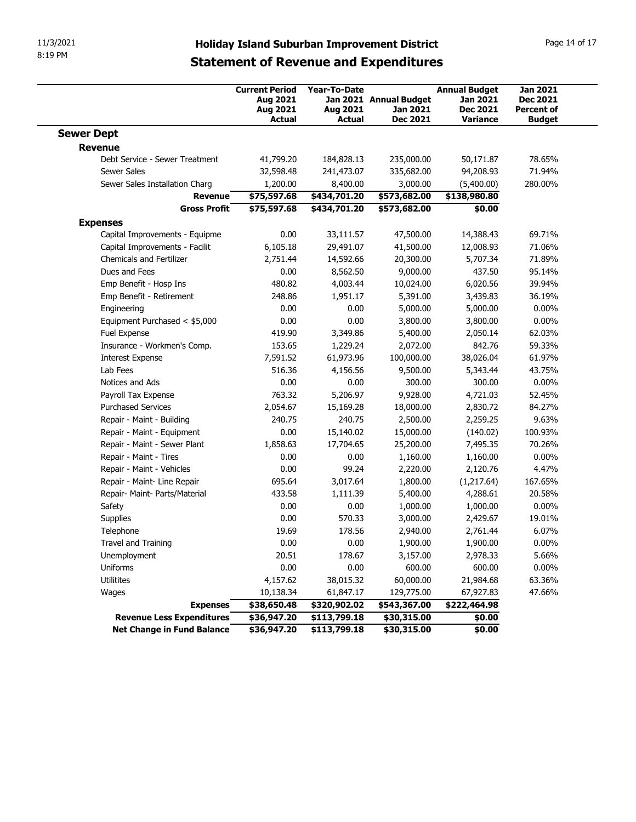| 8:19 PM                                                    |                                                                |                                           | <b>Holiday Island Suburban Improvement District</b>   |                                                                        |                                                                   |  |
|------------------------------------------------------------|----------------------------------------------------------------|-------------------------------------------|-------------------------------------------------------|------------------------------------------------------------------------|-------------------------------------------------------------------|--|
|                                                            | <b>Statement of Revenue and Expenditures</b>                   |                                           |                                                       |                                                                        |                                                                   |  |
|                                                            | <b>Current Period</b><br>Aug 2021<br>Aug 2021<br><b>Actual</b> | Year-To-Date<br>Aug 2021<br><b>Actual</b> | Jan 2021 Annual Budget<br>Jan 2021<br><b>Dec 2021</b> | <b>Annual Budget</b><br>Jan 2021<br><b>Dec 2021</b><br><b>Variance</b> | <b>Jan 2021</b><br>Dec 2021<br><b>Percent of</b><br><b>Budget</b> |  |
| <b>Sewer Dept</b>                                          |                                                                |                                           |                                                       |                                                                        |                                                                   |  |
| <b>Revenue</b><br>Debt Service - Sewer Treatment           | 41,799.20                                                      | 184,828.13                                | 235,000.00                                            | 50,171.87                                                              | 78.65%                                                            |  |
| <b>Sewer Sales</b>                                         | 32,598.48                                                      | 241,473.07                                | 335,682.00                                            | 94,208.93                                                              | 71.94%                                                            |  |
| Sewer Sales Installation Charg                             | 1,200.00                                                       | 8,400.00                                  | 3,000.00                                              | (5,400.00)                                                             | 280.00%                                                           |  |
| Revenue                                                    | \$75,597.68                                                    | \$434,701.20                              | \$573,682.00                                          | \$138,980.80                                                           |                                                                   |  |
| <b>Gross Profit</b>                                        | \$75,597.68                                                    | \$434,701.20                              | \$573,682.00                                          | \$0.00                                                                 |                                                                   |  |
| <b>Expenses</b>                                            |                                                                |                                           |                                                       |                                                                        |                                                                   |  |
| Capital Improvements - Equipme                             | 0.00                                                           | 33,111.57                                 | 47,500.00                                             | 14,388.43                                                              | 69.71%                                                            |  |
| Capital Improvements - Facilit<br>Chemicals and Fertilizer | 6,105.18                                                       | 29,491.07                                 | 41,500.00<br>20,300.00                                | 12,008.93<br>5,707.34                                                  | 71.06%<br>71.89%                                                  |  |
| Dues and Fees                                              | 2,751.44<br>0.00                                               | 14,592.66<br>8,562.50                     | 9,000.00                                              | 437.50                                                                 | 95.14%                                                            |  |
| Emp Benefit - Hosp Ins                                     | 480.82                                                         | 4,003.44                                  | 10,024.00                                             | 6,020.56                                                               | 39.94%                                                            |  |
| Emp Benefit - Retirement                                   | 248.86                                                         | 1,951.17                                  | 5,391.00                                              | 3,439.83                                                               | 36.19%                                                            |  |
| Engineering                                                | 0.00                                                           | 0.00                                      | 5,000.00                                              | 5,000.00                                                               | $0.00\%$                                                          |  |
| Equipment Purchased < \$5,000                              | 0.00                                                           | 0.00                                      | 3,800.00                                              | 3,800.00                                                               | $0.00\%$                                                          |  |
| Fuel Expense                                               | 419.90                                                         | 3,349.86                                  | 5,400.00                                              | 2,050.14                                                               | 62.03%                                                            |  |
| Insurance - Workmen's Comp.<br><b>Interest Expense</b>     | 153.65<br>7,591.52                                             | 1,229.24<br>61,973.96                     | 2,072.00<br>100,000.00                                | 842.76<br>38,026.04                                                    | 59.33%<br>61.97%                                                  |  |
| Lab Fees                                                   | 516.36                                                         | 4,156.56                                  | 9,500.00                                              | 5,343.44                                                               | 43.75%                                                            |  |
| Notices and Ads                                            | 0.00                                                           | 0.00                                      | 300.00                                                | 300.00                                                                 | $0.00\%$                                                          |  |
| Payroll Tax Expense                                        | 763.32                                                         | 5,206.97                                  | 9,928.00                                              | 4,721.03                                                               | 52.45%                                                            |  |
| <b>Purchased Services</b>                                  | 2,054.67                                                       | 15,169.28                                 | 18,000.00                                             | 2,830.72                                                               | 84.27%                                                            |  |
| Repair - Maint - Building                                  | 240.75                                                         | 240.75                                    | 2,500.00                                              | 2,259.25                                                               | 9.63%                                                             |  |
| Repair - Maint - Equipment                                 | 0.00                                                           | 15,140.02                                 | 15,000.00                                             | (140.02)                                                               | 100.93%                                                           |  |
| Repair - Maint - Sewer Plant<br>Repair - Maint - Tires     | 1,858.63<br>0.00                                               | 17,704.65                                 | 25,200.00                                             | 7,495.35                                                               | 70.26%<br>$0.00\%$                                                |  |
| Repair - Maint - Vehicles                                  | 0.00                                                           | 0.00<br>99.24                             | 1,160.00<br>2,220.00                                  | 1,160.00<br>2,120.76                                                   | 4.47%                                                             |  |
| Repair - Maint- Line Repair                                | 695.64                                                         | 3,017.64                                  | 1,800.00                                              | (1,217.64)                                                             | 167.65%                                                           |  |
| Repair- Maint- Parts/Material                              | 433.58                                                         | 1,111.39                                  | 5,400.00                                              | 4,288.61                                                               | 20.58%                                                            |  |
| Safety                                                     | 0.00                                                           | 0.00                                      | 1,000.00                                              | 1,000.00                                                               | $0.00\%$                                                          |  |
| Supplies                                                   | 0.00                                                           | 570.33                                    | 3,000.00                                              | 2,429.67                                                               | 19.01%                                                            |  |
| Telephone                                                  | 19.69                                                          | 178.56                                    | 2,940.00                                              | 2,761.44                                                               | 6.07%                                                             |  |
| Travel and Training                                        | 0.00                                                           | 0.00                                      | 1,900.00                                              | 1,900.00                                                               | $0.00\%$                                                          |  |
| Unemployment                                               | 20.51                                                          | 178.67                                    | 3,157.00                                              | 2,978.33                                                               | 5.66%                                                             |  |
| Uniforms                                                   | 0.00                                                           | 0.00                                      | 600.00                                                | 600.00                                                                 | $0.00\%$                                                          |  |
| Utilitites                                                 | 4,157.62                                                       | 38,015.32                                 | 60,000.00                                             | 21,984.68                                                              | 63.36%                                                            |  |
|                                                            | 10,138.34                                                      | 61,847.17<br>\$320,902.02                 | 129,775.00<br>\$543,367.00                            | 67,927.83<br>\$222,464.98                                              | 47.66%                                                            |  |
| Wages                                                      |                                                                |                                           |                                                       |                                                                        |                                                                   |  |
| <b>Expenses</b><br><b>Revenue Less Expenditures</b>        | \$38,650.48<br>\$36,947.20                                     | \$113,799.18                              | \$30,315.00                                           | \$0.00                                                                 |                                                                   |  |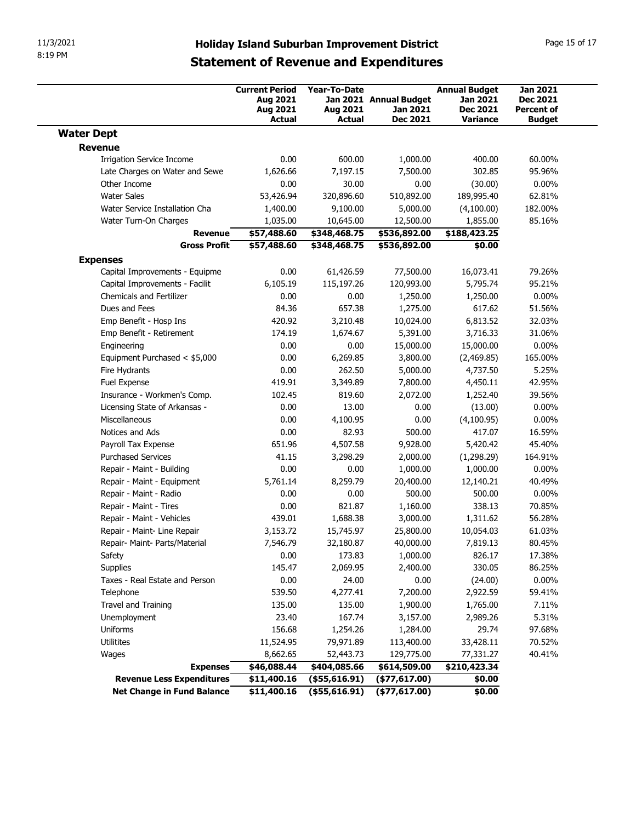| 8:19 PM                                                 | 11/3/2021<br><b>Holiday Island Suburban Improvement District</b><br><b>Statement of Revenue and Expenditures</b> |                                                  |                                                       |                                                                 |                                                                          |  |  |
|---------------------------------------------------------|------------------------------------------------------------------------------------------------------------------|--------------------------------------------------|-------------------------------------------------------|-----------------------------------------------------------------|--------------------------------------------------------------------------|--|--|
|                                                         | <b>Current Period</b><br>Aug 2021<br>Aug 2021<br><b>Actual</b>                                                   | <b>Year-To-Date</b><br>Aug 2021<br><b>Actual</b> | Jan 2021 Annual Budget<br>Jan 2021<br><b>Dec 2021</b> | <b>Annual Budget</b><br>Jan 2021<br><b>Dec 2021</b><br>Variance | <b>Jan 2021</b><br><b>Dec 2021</b><br><b>Percent of</b><br><b>Budget</b> |  |  |
| <b>Water Dept</b>                                       |                                                                                                                  |                                                  |                                                       |                                                                 |                                                                          |  |  |
| <b>Revenue</b>                                          |                                                                                                                  |                                                  |                                                       |                                                                 |                                                                          |  |  |
| <b>Irrigation Service Income</b>                        | 0.00                                                                                                             | 600.00                                           | 1,000.00                                              | 400.00                                                          | 60.00%                                                                   |  |  |
| Late Charges on Water and Sewe                          | 1,626.66                                                                                                         | 7,197.15                                         | 7,500.00                                              | 302.85                                                          | 95.96%                                                                   |  |  |
| Other Income<br><b>Water Sales</b>                      | 0.00<br>53,426.94                                                                                                | 30.00<br>320,896.60                              | 0.00<br>510,892.00                                    | (30.00)<br>189,995.40                                           | $0.00\%$<br>62.81%                                                       |  |  |
| Water Service Installation Cha                          | 1,400.00                                                                                                         | 9,100.00                                         | 5,000.00                                              | (4,100.00)                                                      | 182.00%                                                                  |  |  |
| Water Turn-On Charges                                   | 1,035.00                                                                                                         | 10,645.00                                        | 12,500.00                                             | 1,855.00                                                        | 85.16%                                                                   |  |  |
| <b>Revenue</b>                                          | \$57,488.60                                                                                                      | \$348,468.75                                     | \$536,892.00                                          | \$188,423.25                                                    |                                                                          |  |  |
| <b>Gross Profit</b>                                     | \$57,488.60                                                                                                      | \$348,468.75                                     | \$536,892.00                                          | \$0.00                                                          |                                                                          |  |  |
| <b>Expenses</b>                                         |                                                                                                                  |                                                  |                                                       |                                                                 |                                                                          |  |  |
| Capital Improvements - Equipme                          | 0.00                                                                                                             | 61,426.59                                        | 77,500.00                                             | 16,073.41                                                       | 79.26%                                                                   |  |  |
| Capital Improvements - Facilit                          | 6,105.19                                                                                                         | 115,197.26                                       | 120,993.00                                            | 5,795.74                                                        | 95.21%                                                                   |  |  |
| <b>Chemicals and Fertilizer</b>                         | 0.00                                                                                                             | 0.00                                             | 1,250.00                                              | 1,250.00                                                        | $0.00\%$                                                                 |  |  |
| Dues and Fees                                           | 84.36                                                                                                            | 657.38                                           | 1,275.00                                              | 617.62                                                          | 51.56%                                                                   |  |  |
| Emp Benefit - Hosp Ins                                  | 420.92                                                                                                           | 3,210.48                                         | 10,024.00                                             | 6,813.52                                                        | 32.03%                                                                   |  |  |
| Emp Benefit - Retirement<br>Engineering                 | 174.19<br>0.00                                                                                                   | 1,674.67<br>0.00                                 | 5,391.00<br>15,000.00                                 | 3,716.33<br>15,000.00                                           | 31.06%<br>$0.00\%$                                                       |  |  |
| Equipment Purchased < \$5,000                           | 0.00                                                                                                             | 6,269.85                                         | 3,800.00                                              | (2,469.85)                                                      | 165.00%                                                                  |  |  |
| Fire Hydrants                                           | 0.00                                                                                                             | 262.50                                           | 5,000.00                                              | 4,737.50                                                        | 5.25%                                                                    |  |  |
| Fuel Expense                                            | 419.91                                                                                                           | 3,349.89                                         | 7,800.00                                              | 4,450.11                                                        | 42.95%                                                                   |  |  |
| Insurance - Workmen's Comp.                             | 102.45                                                                                                           | 819.60                                           | 2,072.00                                              | 1,252.40                                                        | 39.56%                                                                   |  |  |
| Licensing State of Arkansas -                           | 0.00                                                                                                             | 13.00                                            | 0.00                                                  | (13.00)                                                         | $0.00\%$                                                                 |  |  |
| Miscellaneous                                           | 0.00                                                                                                             | 4,100.95                                         | 0.00                                                  | (4,100.95)                                                      | $0.00\%$                                                                 |  |  |
| Notices and Ads                                         | 0.00                                                                                                             | 82.93                                            | 500.00                                                | 417.07                                                          | 16.59%                                                                   |  |  |
| Payroll Tax Expense                                     | 651.96                                                                                                           | 4,507.58                                         | 9,928.00                                              | 5,420.42                                                        | 45.40%                                                                   |  |  |
| <b>Purchased Services</b>                               | 41.15                                                                                                            | 3,298.29                                         | 2,000.00                                              | (1,298.29)                                                      | 164.91%                                                                  |  |  |
| Repair - Maint - Building<br>Repair - Maint - Equipment | 0.00<br>5,761.14                                                                                                 | 0.00<br>8,259.79                                 | 1,000.00<br>20,400.00                                 | 1,000.00<br>12,140.21                                           | $0.00\%$<br>40.49%                                                       |  |  |
| Repair - Maint - Radio                                  | 0.00                                                                                                             | 0.00                                             | 500.00                                                | 500.00                                                          | $0.00\%$                                                                 |  |  |
| Repair - Maint - Tires                                  | 0.00                                                                                                             | 821.87                                           | 1,160.00                                              | 338.13                                                          | 70.85%                                                                   |  |  |
| Repair - Maint - Vehicles                               | 439.01                                                                                                           | 1,688.38                                         | 3,000.00                                              | 1,311.62                                                        | 56.28%                                                                   |  |  |
| Repair - Maint- Line Repair                             | 3,153.72                                                                                                         | 15,745.97                                        | 25,800.00                                             | 10,054.03                                                       | 61.03%                                                                   |  |  |
| Repair- Maint- Parts/Material                           | 7,546.79                                                                                                         | 32,180.87                                        | 40,000.00                                             | 7,819.13                                                        | 80.45%                                                                   |  |  |
| Safety                                                  | 0.00                                                                                                             | 173.83                                           | 1,000.00                                              | 826.17                                                          | 17.38%                                                                   |  |  |
| Supplies                                                | 145.47                                                                                                           | 2,069.95                                         | 2,400.00                                              | 330.05                                                          | 86.25%                                                                   |  |  |
| Taxes - Real Estate and Person                          | 0.00                                                                                                             | 24.00                                            | 0.00                                                  | (24.00)                                                         | $0.00\%$                                                                 |  |  |
| Telephone                                               | 539.50                                                                                                           | 4,277.41                                         | 7,200.00                                              | 2,922.59                                                        | 59.41%                                                                   |  |  |
| Travel and Training                                     | 135.00                                                                                                           | 135.00                                           | 1,900.00                                              | 1,765.00                                                        | 7.11%                                                                    |  |  |
| Unemployment<br>Uniforms                                | 23.40<br>156.68                                                                                                  | 167.74<br>1,254.26                               | 3,157.00<br>1,284.00                                  | 2,989.26<br>29.74                                               | 5.31%<br>97.68%                                                          |  |  |
| Utilitites                                              | 11,524.95                                                                                                        | 79,971.89                                        | 113,400.00                                            | 33,428.11                                                       | 70.52%                                                                   |  |  |
| Wages                                                   | 8,662.65                                                                                                         | 52,443.73                                        | 129,775.00                                            | 77,331.27                                                       | 40.41%                                                                   |  |  |
| <b>Expenses</b>                                         | \$46,088.44                                                                                                      | \$404,085.66                                     | \$614,509.00                                          | \$210,423.34                                                    |                                                                          |  |  |
| <b>Revenue Less Expenditures</b>                        | \$11,400.16                                                                                                      | $($ \$55,616.91)                                 | $($ \$77,617.00)                                      | \$0.00                                                          |                                                                          |  |  |
| <b>Net Change in Fund Balance</b>                       | \$11,400.16                                                                                                      | $($ \$55,616.91)                                 | $($ \$77,617.00)                                      | \$0.00                                                          |                                                                          |  |  |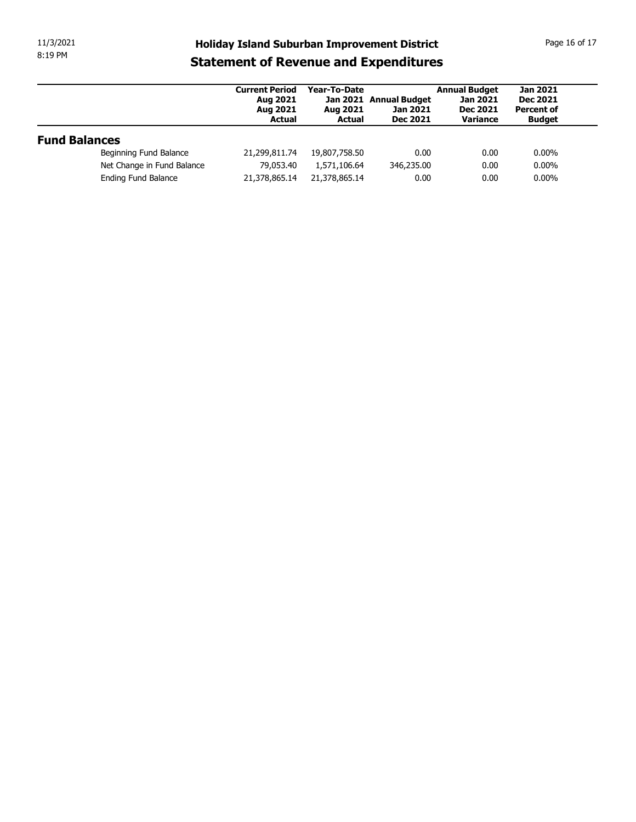| 11/3/2021            |                            |                                                                                                     |                                           |                                                       |                                                                        | Page 16 of 17                                                            |
|----------------------|----------------------------|-----------------------------------------------------------------------------------------------------|-------------------------------------------|-------------------------------------------------------|------------------------------------------------------------------------|--------------------------------------------------------------------------|
| 8:19 PM              |                            | <b>Holiday Island Suburban Improvement District</b><br><b>Statement of Revenue and Expenditures</b> |                                           |                                                       |                                                                        |                                                                          |
|                      |                            | <b>Current Period</b><br>Aug 2021<br>Aug 2021<br><b>Actual</b>                                      | Year-To-Date<br>Aug 2021<br><b>Actual</b> | Jan 2021 Annual Budget<br>Jan 2021<br><b>Dec 2021</b> | <b>Annual Budget</b><br><b>Jan 2021</b><br><b>Dec 2021</b><br>Variance | <b>Jan 2021</b><br><b>Dec 2021</b><br><b>Percent of</b><br><b>Budget</b> |
|                      |                            |                                                                                                     |                                           |                                                       |                                                                        |                                                                          |
| <b>Fund Balances</b> |                            |                                                                                                     |                                           |                                                       |                                                                        |                                                                          |
|                      | Beginning Fund Balance     | 21,299,811.74                                                                                       | 19,807,758.50                             | 0.00                                                  | 0.00                                                                   | $0.00\%$                                                                 |
|                      | Net Change in Fund Balance | 79,053.40                                                                                           | 1,571,106.64                              | 346,235.00                                            | 0.00                                                                   | $0.00\%$                                                                 |
|                      | Ending Fund Balance        | 21,378,865.14                                                                                       | 21,378,865.14                             | 0.00                                                  | 0.00                                                                   | $0.00\%$                                                                 |
|                      |                            |                                                                                                     |                                           |                                                       |                                                                        |                                                                          |
|                      |                            |                                                                                                     |                                           |                                                       |                                                                        |                                                                          |
|                      |                            |                                                                                                     |                                           |                                                       |                                                                        |                                                                          |